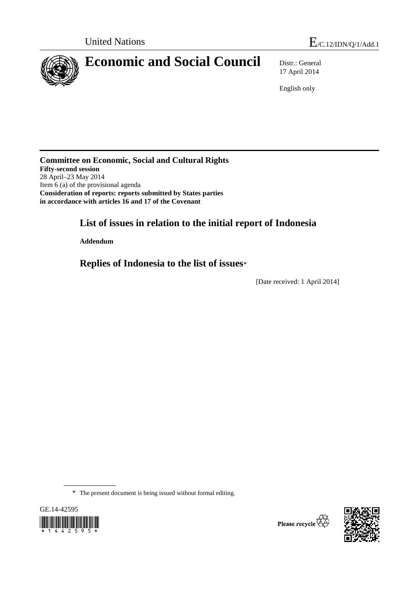

17 April 2014

English only

**Committee on Economic, Social and Cultural Rights Fifty-second session**  28 April–23 May 2014 Item 6 (a) of the provisional agenda **Consideration of reports: reports submitted by States parties in accordance with articles 16 and 17 of the Covenant** 

# **List of issues in relation to the initial report of Indonesia**

 **Addendum** 

 **Replies of Indonesia to the list of issues**\*

[Date received: 1 April 2014]

\* The present document is being issued without formal editing.



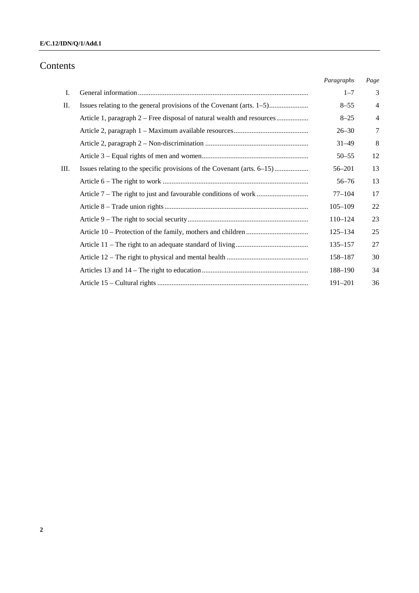# Contents

| 3<br>Ι.<br>$1 - 7$<br>П.<br>Issues relating to the general provisions of the Covenant (arts. 1–5)<br>$8 - 55$<br>$\overline{4}$<br>Article 1, paragraph 2 – Free disposal of natural wealth and resources<br>$\overline{4}$<br>$8 - 25$<br>$\tau$<br>$26 - 30$<br>8<br>$31 - 49$<br>12<br>$50 - 55$<br>13<br>Ш.<br>Issues relating to the specific provisions of the Covenant (arts. 6–15)<br>$56 - 201$<br>13<br>$56 - 76$<br>17<br>$77 - 104$<br>22<br>$105 - 109$<br>23<br>$110 - 124$<br>25<br>$125 - 134$<br>27<br>$135 - 157$<br>30<br>158-187<br>34<br>188-190<br>191-201 |  | Paragraphs | Page |
|----------------------------------------------------------------------------------------------------------------------------------------------------------------------------------------------------------------------------------------------------------------------------------------------------------------------------------------------------------------------------------------------------------------------------------------------------------------------------------------------------------------------------------------------------------------------------------|--|------------|------|
|                                                                                                                                                                                                                                                                                                                                                                                                                                                                                                                                                                                  |  |            |      |
|                                                                                                                                                                                                                                                                                                                                                                                                                                                                                                                                                                                  |  |            |      |
|                                                                                                                                                                                                                                                                                                                                                                                                                                                                                                                                                                                  |  |            |      |
|                                                                                                                                                                                                                                                                                                                                                                                                                                                                                                                                                                                  |  |            |      |
|                                                                                                                                                                                                                                                                                                                                                                                                                                                                                                                                                                                  |  |            |      |
|                                                                                                                                                                                                                                                                                                                                                                                                                                                                                                                                                                                  |  |            |      |
|                                                                                                                                                                                                                                                                                                                                                                                                                                                                                                                                                                                  |  |            |      |
|                                                                                                                                                                                                                                                                                                                                                                                                                                                                                                                                                                                  |  |            |      |
|                                                                                                                                                                                                                                                                                                                                                                                                                                                                                                                                                                                  |  |            |      |
|                                                                                                                                                                                                                                                                                                                                                                                                                                                                                                                                                                                  |  |            |      |
|                                                                                                                                                                                                                                                                                                                                                                                                                                                                                                                                                                                  |  |            |      |
|                                                                                                                                                                                                                                                                                                                                                                                                                                                                                                                                                                                  |  |            |      |
|                                                                                                                                                                                                                                                                                                                                                                                                                                                                                                                                                                                  |  |            |      |
|                                                                                                                                                                                                                                                                                                                                                                                                                                                                                                                                                                                  |  |            |      |
|                                                                                                                                                                                                                                                                                                                                                                                                                                                                                                                                                                                  |  |            |      |
|                                                                                                                                                                                                                                                                                                                                                                                                                                                                                                                                                                                  |  |            | 36   |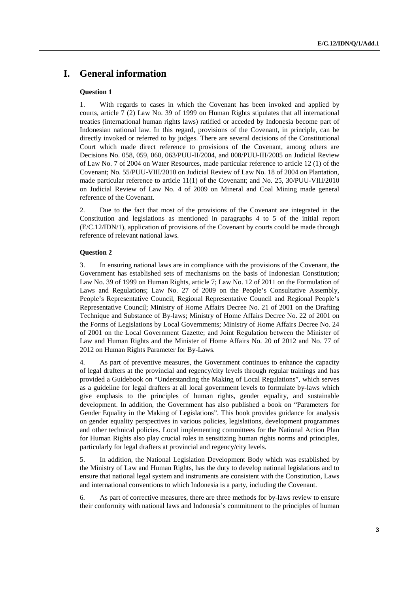# **I. General information**

### **Question 1**

1. With regards to cases in which the Covenant has been invoked and applied by courts, article 7 (2) Law No. 39 of 1999 on Human Rights stipulates that all international treaties (international human rights laws) ratified or acceded by Indonesia become part of Indonesian national law. In this regard, provisions of the Covenant, in principle, can be directly invoked or referred to by judges. There are several decisions of the Constitutional Court which made direct reference to provisions of the Covenant, among others are Decisions No. 058, 059, 060, 063/PUU-II/2004, and 008/PUU-III/2005 on Judicial Review of Law No. 7 of 2004 on Water Resources, made particular reference to article 12 (1) of the Covenant; No. 55/PUU-VIII/2010 on Judicial Review of Law No. 18 of 2004 on Plantation, made particular reference to article 11(1) of the Covenant; and No. 25, 30/PUU-VIII/2010 on Judicial Review of Law No. 4 of 2009 on Mineral and Coal Mining made general reference of the Covenant.

2. Due to the fact that most of the provisions of the Covenant are integrated in the Constitution and legislations as mentioned in paragraphs 4 to 5 of the initial report (E/C.12/IDN/1), application of provisions of the Covenant by courts could be made through reference of relevant national laws.

#### **Question 2**

3. In ensuring national laws are in compliance with the provisions of the Covenant, the Government has established sets of mechanisms on the basis of Indonesian Constitution; Law No. 39 of 1999 on Human Rights, article 7; Law No. 12 of 2011 on the Formulation of Laws and Regulations; Law No. 27 of 2009 on the People's Consultative Assembly, People's Representative Council, Regional Representative Council and Regional People's Representative Council; Ministry of Home Affairs Decree No. 21 of 2001 on the Drafting Technique and Substance of By-laws; Ministry of Home Affairs Decree No. 22 of 2001 on the Forms of Legislations by Local Governments; Ministry of Home Affairs Decree No. 24 of 2001 on the Local Government Gazette; and Joint Regulation between the Minister of Law and Human Rights and the Minister of Home Affairs No. 20 of 2012 and No. 77 of 2012 on Human Rights Parameter for By-Laws.

4. As part of preventive measures, the Government continues to enhance the capacity of legal drafters at the provincial and regency/city levels through regular trainings and has provided a Guidebook on "Understanding the Making of Local Regulations", which serves as a guideline for legal drafters at all local government levels to formulate by-laws which give emphasis to the principles of human rights, gender equality, and sustainable development. In addition, the Government has also published a book on "Parameters for Gender Equality in the Making of Legislations". This book provides guidance for analysis on gender equality perspectives in various policies, legislations, development programmes and other technical policies. Local implementing committees for the National Action Plan for Human Rights also play crucial roles in sensitizing human rights norms and principles, particularly for legal drafters at provincial and regency/city levels.

5. In addition, the National Legislation Development Body which was established by the Ministry of Law and Human Rights, has the duty to develop national legislations and to ensure that national legal system and instruments are consistent with the Constitution, Laws and international conventions to which Indonesia is a party, including the Covenant.

6. As part of corrective measures, there are three methods for by-laws review to ensure their conformity with national laws and Indonesia's commitment to the principles of human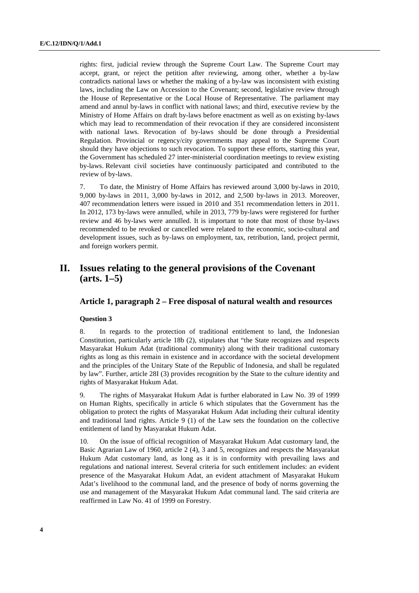rights: first, judicial review through the Supreme Court Law. The Supreme Court may accept, grant, or reject the petition after reviewing, among other, whether a by-law contradicts national laws or whether the making of a by-law was inconsistent with existing laws, including the Law on Accession to the Covenant; second, legislative review through the House of Representative or the Local House of Representative. The parliament may amend and annul by-laws in conflict with national laws; and third, executive review by the Ministry of Home Affairs on draft by-laws before enactment as well as on existing by-laws which may lead to recommendation of their revocation if they are considered inconsistent with national laws. Revocation of by-laws should be done through a Presidential Regulation. Provincial or regency/city governments may appeal to the Supreme Court should they have objections to such revocation. To support these efforts, starting this year, the Government has scheduled 27 inter-ministerial coordination meetings to review existing by-laws. Relevant civil societies have continuously participated and contributed to the review of by-laws.

7. To date, the Ministry of Home Affairs has reviewed around 3,000 by-laws in 2010, 9,000 by-laws in 2011, 3,000 by-laws in 2012, and 2,500 by-laws in 2013. Moreover, 407 recommendation letters were issued in 2010 and 351 recommendation letters in 2011. In 2012, 173 by-laws were annulled, while in 2013, 779 by-laws were registered for further review and 46 by-laws were annulled. It is important to note that most of those by-laws recommended to be revoked or cancelled were related to the economic, socio-cultural and development issues, such as by-laws on employment, tax, retribution, land, project permit, and foreign workers permit.

# **II. Issues relating to the general provisions of the Covenant (arts. 1–5)**

### **Article 1, paragraph 2 – Free disposal of natural wealth and resources**

### **Question 3**

8. In regards to the protection of traditional entitlement to land, the Indonesian Constitution, particularly article 18b (2), stipulates that "the State recognizes and respects Masyarakat Hukum Adat (traditional community) along with their traditional customary rights as long as this remain in existence and in accordance with the societal development and the principles of the Unitary State of the Republic of Indonesia, and shall be regulated by law". Further, article 28I (3) provides recognition by the State to the culture identity and rights of Masyarakat Hukum Adat.

9. The rights of Masyarakat Hukum Adat is further elaborated in Law No. 39 of 1999 on Human Rights, specifically in article 6 which stipulates that the Government has the obligation to protect the rights of Masyarakat Hukum Adat including their cultural identity and traditional land rights. Article 9 (1) of the Law sets the foundation on the collective entitlement of land by Masyarakat Hukum Adat.

10. On the issue of official recognition of Masyarakat Hukum Adat customary land, the Basic Agrarian Law of 1960, article 2 (4), 3 and 5, recognizes and respects the Masyarakat Hukum Adat customary land, as long as it is in conformity with prevailing laws and regulations and national interest. Several criteria for such entitlement includes: an evident presence of the Masyarakat Hukum Adat, an evident attachment of Masyarakat Hukum Adat's livelihood to the communal land, and the presence of body of norms governing the use and management of the Masyarakat Hukum Adat communal land. The said criteria are reaffirmed in Law No. 41 of 1999 on Forestry.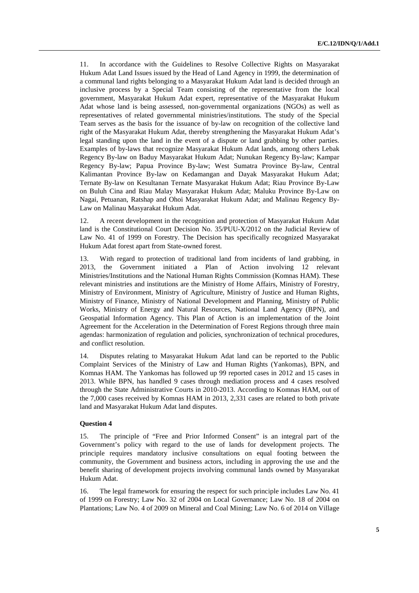11. In accordance with the Guidelines to Resolve Collective Rights on Masyarakat Hukum Adat Land Issues issued by the Head of Land Agency in 1999, the determination of a communal land rights belonging to a Masyarakat Hukum Adat land is decided through an inclusive process by a Special Team consisting of the representative from the local government, Masyarakat Hukum Adat expert, representative of the Masyarakat Hukum Adat whose land is being assessed, non-governmental organizations (NGOs) as well as representatives of related governmental ministries/institutions. The study of the Special Team serves as the basis for the issuance of by-law on recognition of the collective land right of the Masyarakat Hukum Adat, thereby strengthening the Masyarakat Hukum Adat's legal standing upon the land in the event of a dispute or land grabbing by other parties. Examples of by-laws that recognize Masyarakat Hukum Adat lands, among others Lebak Regency By-law on Baduy Masyarakat Hukum Adat; Nunukan Regency By-law; Kampar Regency By-law; Papua Province By-law; West Sumatra Province By-law, Central Kalimantan Province By-law on Kedamangan and Dayak Masyarakat Hukum Adat; Ternate By-law on Kesultanan Ternate Masyarakat Hukum Adat; Riau Province By-Law on Buluh Cina and Riau Malay Masyarakat Hukum Adat; Maluku Province By-Law on Nagai, Petuanan, Ratshap and Ohoi Masyarakat Hukum Adat; and Malinau Regency By-Law on Malinau Masyarakat Hukum Adat.

12. A recent development in the recognition and protection of Masyarakat Hukum Adat land is the Constitutional Court Decision No. 35/PUU-X/2012 on the Judicial Review of Law No. 41 of 1999 on Forestry. The Decision has specifically recognized Masyarakat Hukum Adat forest apart from State-owned forest.

13. With regard to protection of traditional land from incidents of land grabbing, in 2013, the Government initiated a Plan of Action involving 12 relevant Ministries/Institutions and the National Human Rights Commission (Komnas HAM). These relevant ministries and institutions are the Ministry of Home Affairs, Ministry of Forestry, Ministry of Environment, Ministry of Agriculture, Ministry of Justice and Human Rights, Ministry of Finance, Ministry of National Development and Planning, Ministry of Public Works, Ministry of Energy and Natural Resources, National Land Agency (BPN), and Geospatial Information Agency. This Plan of Action is an implementation of the Joint Agreement for the Acceleration in the Determination of Forest Regions through three main agendas: harmonization of regulation and policies, synchronization of technical procedures, and conflict resolution.

14. Disputes relating to Masyarakat Hukum Adat land can be reported to the Public Complaint Services of the Ministry of Law and Human Rights (Yankomas), BPN, and Komnas HAM. The Yankomas has followed up 99 reported cases in 2012 and 15 cases in 2013. While BPN, has handled 9 cases through mediation process and 4 cases resolved through the State Administrative Courts in 2010-2013. According to Komnas HAM, out of the 7,000 cases received by Komnas HAM in 2013, 2,331 cases are related to both private land and Masyarakat Hukum Adat land disputes.

### **Question 4**

15. The principle of "Free and Prior Informed Consent" is an integral part of the Government's policy with regard to the use of lands for development projects. The principle requires mandatory inclusive consultations on equal footing between the community, the Government and business actors, including in approving the use and the benefit sharing of development projects involving communal lands owned by Masyarakat Hukum Adat.

16. The legal framework for ensuring the respect for such principle includes Law No. 41 of 1999 on Forestry; Law No. 32 of 2004 on Local Governance; Law No. 18 of 2004 on Plantations; Law No. 4 of 2009 on Mineral and Coal Mining; Law No. 6 of 2014 on Village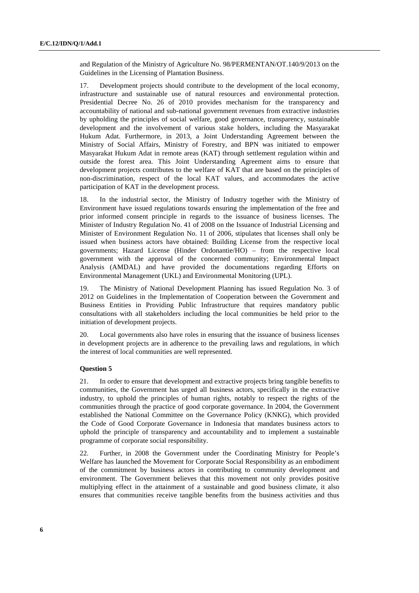and Regulation of the Ministry of Agriculture No. 98/PERMENTAN/OT.140/9/2013 on the Guidelines in the Licensing of Plantation Business.

17. Development projects should contribute to the development of the local economy, infrastructure and sustainable use of natural resources and environmental protection. Presidential Decree No. 26 of 2010 provides mechanism for the transparency and accountability of national and sub-national government revenues from extractive industries by upholding the principles of social welfare, good governance, transparency, sustainable development and the involvement of various stake holders, including the Masyarakat Hukum Adat. Furthermore, in 2013, a Joint Understanding Agreement between the Ministry of Social Affairs, Ministry of Forestry, and BPN was initiated to empower Masyarakat Hukum Adat in remote areas (KAT) through settlement regulation within and outside the forest area. This Joint Understanding Agreement aims to ensure that development projects contributes to the welfare of KAT that are based on the principles of non-discrimination, respect of the local KAT values, and accommodates the active participation of KAT in the development process.

18. In the industrial sector, the Ministry of Industry together with the Ministry of Environment have issued regulations towards ensuring the implementation of the free and prior informed consent principle in regards to the issuance of business licenses. The Minister of Industry Regulation No. 41 of 2008 on the Issuance of Industrial Licensing and Minister of Environment Regulation No. 11 of 2006, stipulates that licenses shall only be issued when business actors have obtained: Building License from the respective local governments; Hazard License (Hinder Ordonantie/HO) – from the respective local government with the approval of the concerned community; Environmental Impact Analysis (AMDAL) and have provided the documentations regarding Efforts on Environmental Management (UKL) and Environmental Monitoring (UPL).

19. The Ministry of National Development Planning has issued Regulation No. 3 of 2012 on Guidelines in the Implementation of Cooperation between the Government and Business Entities in Providing Public Infrastructure that requires mandatory public consultations with all stakeholders including the local communities be held prior to the initiation of development projects.

20. Local governments also have roles in ensuring that the issuance of business licenses in development projects are in adherence to the prevailing laws and regulations, in which the interest of local communities are well represented.

#### **Question 5**

21. In order to ensure that development and extractive projects bring tangible benefits to communities, the Government has urged all business actors, specifically in the extractive industry, to uphold the principles of human rights, notably to respect the rights of the communities through the practice of good corporate governance. In 2004, the Government established the National Committee on the Governance Policy (KNKG), which provided the Code of Good Corporate Governance in Indonesia that mandates business actors to uphold the principle of transparency and accountability and to implement a sustainable programme of corporate social responsibility.

22. Further, in 2008 the Government under the Coordinating Ministry for People's Welfare has launched the Movement for Corporate Social Responsibility as an embodiment of the commitment by business actors in contributing to community development and environment. The Government believes that this movement not only provides positive multiplying effect in the attainment of a sustainable and good business climate, it also ensures that communities receive tangible benefits from the business activities and thus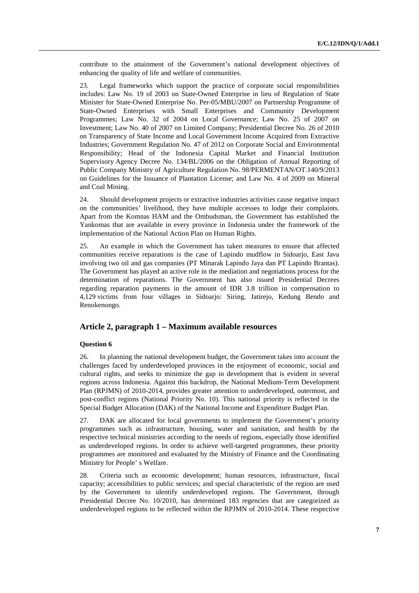contribute to the attainment of the Government's national development objectives of enhancing the quality of life and welfare of communities.

23. Legal frameworks which support the practice of corporate social responsibilities includes: Law No. 19 of 2003 on State-Owned Enterprise in lieu of Regulation of State Minister for State-Owned Enterprise No. Per-05/MBU/2007 on Partnership Programme of State-Owned Enterprises with Small Enterprises and Community Development Programmes; Law No. 32 of 2004 on Local Governance; Law No. 25 of 2007 on Investment; Law No. 40 of 2007 on Limited Company; Presidential Decree No. 26 of 2010 on Transparency of State Income and Local Government Income Acquired from Extractive Industries; Government Regulation No. 47 of 2012 on Corporate Social and Environmental Responsibility; Head of the Indonesia Capital Market and Financial Institution Supervisory Agency Decree No. 134/BL/2006 on the Obligation of Annual Reporting of Public Company Ministry of Agriculture Regulation No. 98/PERMENTAN/OT.140/9/2013 on Guidelines for the Issuance of Plantation License; and Law No. 4 of 2009 on Mineral and Coal Mining.

24. Should development projects or extractive industries activities cause negative impact on the communities' livelihood, they have multiple accesses to lodge their complaints. Apart from the Komnas HAM and the Ombudsman, the Government has established the Yankomas that are available in every province in Indonesia under the framework of the implementation of the National Action Plan on Human Rights.

25. An example in which the Government has taken measures to ensure that affected communities receive reparations is the case of Lapindo mudflow in Sidoarjo, East Java involving two oil and gas companies (PT Minarak Lapindo Jaya dan PT Lapindo Brantas). The Government has played an active role in the mediation and negotiations process for the determination of reparations. The Government has also issued Presidential Decrees regarding reparation payments in the amount of IDR 3.8 trillion in compensation to 4,129 victims from four villages in Sidoarjo: Siring, Jatirejo, Kedung Bendo and Renokenongo.

# **Article 2, paragraph 1 – Maximum available resources**

### **Question 6**

26. In planning the national development budget, the Government takes into account the challenges faced by underdeveloped provinces in the enjoyment of economic, social and cultural rights, and seeks to minimize the gap in development that is evident in several regions across Indonesia. Against this backdrop, the National Medium-Term Development Plan (RPJMN) of 2010-2014, provides greater attention to underdeveloped, outermost, and post-conflict regions (National Priority No. 10). This national priority is reflected in the Special Budget Allocation (DAK) of the National Income and Expenditure Budget Plan.

27. DAK are allocated for local governments to implement the Government's priority programmes such as infrastructure, housing, water and sanitation, and health by the respective technical ministries according to the needs of regions, especially those identified as underdeveloped regions. In order to achieve well-targeted programmes, these priority programmes are monitored and evaluated by the Ministry of Finance and the Coordinating Ministry for People' s Welfare.

28. Criteria such as economic development; human resources, infrastructure, fiscal capacity; accessibilities to public services; and special characteristic of the region are used by the Government to identify underdeveloped regions. The Government, through Presidential Decree No. 10/2010, has determined 183 regencies that are categorized as underdeveloped regions to be reflected within the RPJMN of 2010-2014. These respective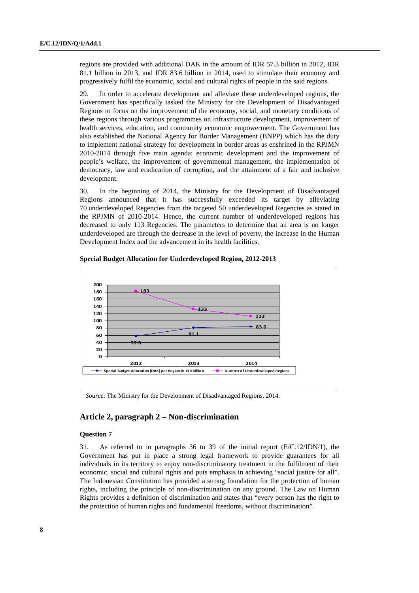regions are provided with additional DAK in the amount of IDR 57.3 billion in 2012, IDR 81.1 billion in 2013, and IDR 83.6 billion in 2014, used to stimulate their economy and progressively fulfil the economic, social and cultural rights of people in the said regions.

29. In order to accelerate development and alleviate these underdeveloped regions, the Government has specifically tasked the Ministry for the Development of Disadvantaged Regions to focus on the improvement of the economy, social, and monetary conditions of these regions through various programmes on infrastructure development, improvement of health services, education, and community economic empowerment. The Government has also established the National Agency for Border Management (BNPP) which has the duty to implement national strategy for development in border areas as enshrined in the RPJMN 2010-2014 through five main agenda: economic development and the improvement of people's welfare, the improvement of governmental management, the implementation of democracy, law and eradication of corruption, and the attainment of a fair and inclusive development.

30. In the beginning of 2014, the Ministry for the Development of Disadvantaged Regions announced that it has successfully exceeded its target by alleviating 70 underdeveloped Regencies from the targeted 50 underdeveloped Regencies as stated in the RPJMN of 2010-2014. Hence, the current number of underdeveloped regions has decreased to only 113 Regencies. The parameters to determine that an area is no longer underdeveloped are through the decrease in the level of poverty, the increase in the Human Development Index and the advancement in its health facilities.



 **Special Budget Allocation for Underdeveloped Region, 2012-2013** 

*Source*: The Ministry for the Development of Disadvantaged Regions, 2014.

## **Article 2, paragraph 2 – Non-discrimination**

### **Question 7**

31. As referred to in paragraphs 36 to 39 of the initial report (E/C.12/IDN/1), the Government has put in place a strong legal framework to provide guarantees for all individuals in its territory to enjoy non-discriminatory treatment in the fulfilment of their economic, social and cultural rights and puts emphasis in achieving "social justice for all". The Indonesian Constitution has provided a strong foundation for the protection of human rights, including the principle of non-discrimination on any ground. The Law on Human Rights provides a definition of discrimination and states that "every person has the right to the protection of human rights and fundamental freedoms, without discrimination".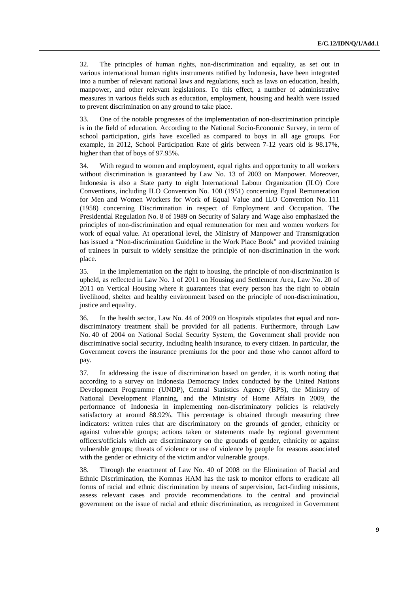32. The principles of human rights, non-discrimination and equality, as set out in various international human rights instruments ratified by Indonesia, have been integrated into a number of relevant national laws and regulations, such as laws on education, health, manpower, and other relevant legislations. To this effect, a number of administrative measures in various fields such as education, employment, housing and health were issued to prevent discrimination on any ground to take place.

33. One of the notable progresses of the implementation of non-discrimination principle is in the field of education. According to the National Socio-Economic Survey, in term of school participation, girls have excelled as compared to boys in all age groups. For example, in 2012, School Participation Rate of girls between 7-12 years old is 98.17%, higher than that of boys of 97.95%.

34. With regard to women and employment, equal rights and opportunity to all workers without discrimination is guaranteed by Law No. 13 of 2003 on Manpower. Moreover, Indonesia is also a State party to eight International Labour Organization (ILO) Core Conventions, including ILO Convention No. 100 (1951) concerning Equal Remuneration for Men and Women Workers for Work of Equal Value and ILO Convention No. 111 (1958) concerning Discrimination in respect of Employment and Occupation. The Presidential Regulation No. 8 of 1989 on Security of Salary and Wage also emphasized the principles of non-discrimination and equal remuneration for men and women workers for work of equal value. At operational level, the Ministry of Manpower and Transmigration has issued a "Non-discrimination Guideline in the Work Place Book" and provided training of trainees in pursuit to widely sensitize the principle of non-discrimination in the work place.

35. In the implementation on the right to housing, the principle of non-discrimination is upheld, as reflected in Law No. 1 of 2011 on Housing and Settlement Area, Law No. 20 of 2011 on Vertical Housing where it guarantees that every person has the right to obtain livelihood, shelter and healthy environment based on the principle of non-discrimination, justice and equality.

36. In the health sector, Law No. 44 of 2009 on Hospitals stipulates that equal and nondiscriminatory treatment shall be provided for all patients. Furthermore, through Law No. 40 of 2004 on National Social Security System, the Government shall provide non discriminative social security, including health insurance, to every citizen. In particular, the Government covers the insurance premiums for the poor and those who cannot afford to pay.

37. In addressing the issue of discrimination based on gender, it is worth noting that according to a survey on Indonesia Democracy Index conducted by the United Nations Development Programme (UNDP), Central Statistics Agency (BPS), the Ministry of National Development Planning, and the Ministry of Home Affairs in 2009, the performance of Indonesia in implementing non-discriminatory policies is relatively satisfactory at around 88.92%. This percentage is obtained through measuring three indicators: written rules that are discriminatory on the grounds of gender, ethnicity or against vulnerable groups; actions taken or statements made by regional government officers/officials which are discriminatory on the grounds of gender, ethnicity or against vulnerable groups; threats of violence or use of violence by people for reasons associated with the gender or ethnicity of the victim and/or vulnerable groups.

38. Through the enactment of Law No. 40 of 2008 on the Elimination of Racial and Ethnic Discrimination, the Komnas HAM has the task to monitor efforts to eradicate all forms of racial and ethnic discrimination by means of supervision, fact-finding missions, assess relevant cases and provide recommendations to the central and provincial government on the issue of racial and ethnic discrimination, as recognized in Government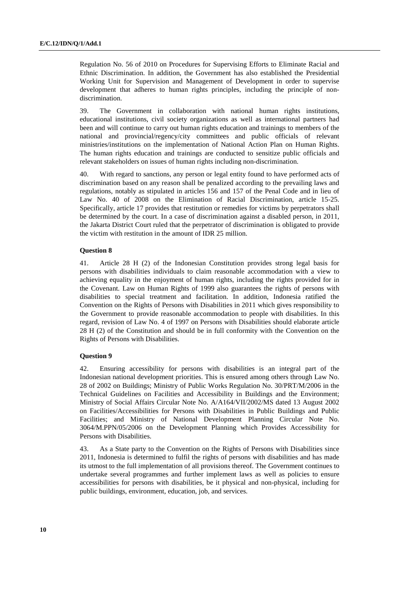Regulation No. 56 of 2010 on Procedures for Supervising Efforts to Eliminate Racial and Ethnic Discrimination. In addition, the Government has also established the Presidential Working Unit for Supervision and Management of Development in order to supervise development that adheres to human rights principles, including the principle of nondiscrimination.

39. The Government in collaboration with national human rights institutions, educational institutions, civil society organizations as well as international partners had been and will continue to carry out human rights education and trainings to members of the national and provincial/regency/city committees and public officials of relevant ministries/institutions on the implementation of National Action Plan on Human Rights. The human rights education and trainings are conducted to sensitize public officials and relevant stakeholders on issues of human rights including non-discrimination.

40. With regard to sanctions, any person or legal entity found to have performed acts of discrimination based on any reason shall be penalized according to the prevailing laws and regulations, notably as stipulated in articles 156 and 157 of the Penal Code and in lieu of Law No. 40 of 2008 on the Elimination of Racial Discrimination, article 15-25. Specifically, article 17 provides that restitution or remedies for victims by perpetrators shall be determined by the court. In a case of discrimination against a disabled person, in 2011, the Jakarta District Court ruled that the perpetrator of discrimination is obligated to provide the victim with restitution in the amount of IDR 25 million.

#### **Question 8**

41. Article 28 H (2) of the Indonesian Constitution provides strong legal basis for persons with disabilities individuals to claim reasonable accommodation with a view to achieving equality in the enjoyment of human rights, including the rights provided for in the Covenant. Law on Human Rights of 1999 also guarantees the rights of persons with disabilities to special treatment and facilitation. In addition, Indonesia ratified the Convention on the Rights of Persons with Disabilities in 2011 which gives responsibility to the Government to provide reasonable accommodation to people with disabilities. In this regard, revision of Law No. 4 of 1997 on Persons with Disabilities should elaborate article 28 H (2) of the Constitution and should be in full conformity with the Convention on the Rights of Persons with Disabilities.

#### **Question 9**

42. Ensuring accessibility for persons with disabilities is an integral part of the Indonesian national development priorities. This is ensured among others through Law No. 28 of 2002 on Buildings; Ministry of Public Works Regulation No. 30/PRT/M/2006 in the Technical Guidelines on Facilities and Accessibility in Buildings and the Environment; Ministry of Social Affairs Circular Note No. A/A164/VII/2002/MS dated 13 August 2002 on Facilities/Accessibilities for Persons with Disabilities in Public Buildings and Public Facilities; and Ministry of National Development Planning Circular Note No. 3064/M.PPN/05/2006 on the Development Planning which Provides Accessibility for Persons with Disabilities.

43. As a State party to the Convention on the Rights of Persons with Disabilities since 2011, Indonesia is determined to fulfil the rights of persons with disabilities and has made its utmost to the full implementation of all provisions thereof. The Government continues to undertake several programmes and further implement laws as well as policies to ensure accessibilities for persons with disabilities, be it physical and non-physical, including for public buildings, environment, education, job, and services.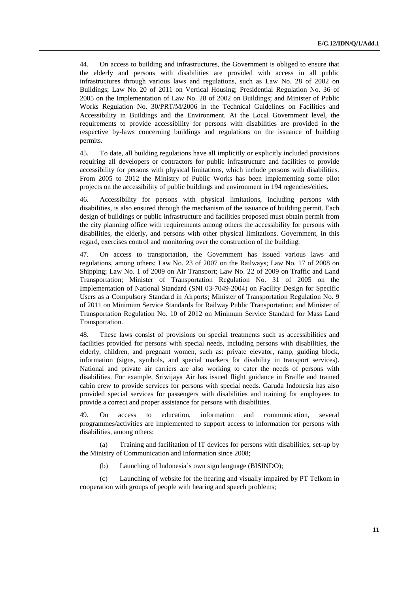44. On access to building and infrastructures, the Government is obliged to ensure that the elderly and persons with disabilities are provided with access in all public infrastructures through various laws and regulations, such as Law No. 28 of 2002 on Buildings; Law No. 20 of 2011 on Vertical Housing; Presidential Regulation No. 36 of 2005 on the Implementation of Law No. 28 of 2002 on Buildings; and Minister of Public Works Regulation No. 30/PRT/M/2006 in the Technical Guidelines on Facilities and Accessibility in Buildings and the Environment. At the Local Government level, the requirements to provide accessibility for persons with disabilities are provided in the respective by-laws concerning buildings and regulations on the issuance of building permits.

45. To date, all building regulations have all implicitly or explicitly included provisions requiring all developers or contractors for public infrastructure and facilities to provide accessibility for persons with physical limitations, which include persons with disabilities. From 2005 to 2012 the Ministry of Public Works has been implementing some pilot projects on the accessibility of public buildings and environment in 194 regencies/cities.

46. Accessibility for persons with physical limitations, including persons with disabilities, is also ensured through the mechanism of the issuance of building permit. Each design of buildings or public infrastructure and facilities proposed must obtain permit from the city planning office with requirements among others the accessibility for persons with disabilities, the elderly, and persons with other physical limitations. Government, in this regard, exercises control and monitoring over the construction of the building.

47. On access to transportation, the Government has issued various laws and regulations, among others: Law No. 23 of 2007 on the Railways; Law No. 17 of 2008 on Shipping; Law No. 1 of 2009 on Air Transport; Law No. 22 of 2009 on Traffic and Land Transportation; Minister of Transportation Regulation No. 31 of 2005 on the Implementation of National Standard (SNI 03-7049-2004) on Facility Design for Specific Users as a Compulsory Standard in Airports; Minister of Transportation Regulation No. 9 of 2011 on Minimum Service Standards for Railway Public Transportation; and Minister of Transportation Regulation No. 10 of 2012 on Minimum Service Standard for Mass Land Transportation.

48. These laws consist of provisions on special treatments such as accessibilities and facilities provided for persons with special needs, including persons with disabilities, the elderly, children, and pregnant women, such as: private elevator, ramp, guiding block, information (signs, symbols, and special markers for disability in transport services). National and private air carriers are also working to cater the needs of persons with disabilities. For example, Sriwijaya Air has issued flight guidance in Braille and trained cabin crew to provide services for persons with special needs. Garuda Indonesia has also provided special services for passengers with disabilities and training for employees to provide a correct and proper assistance for persons with disabilities.

49. On access to education, information and communication, several programmes/activities are implemented to support access to information for persons with disabilities, among others:

(a) Training and facilitation of IT devices for persons with disabilities, set-up by the Ministry of Communication and Information since 2008;

(b) Launching of Indonesia's own sign language (BISINDO);

(c) Launching of website for the hearing and visually impaired by PT Telkom in cooperation with groups of people with hearing and speech problems;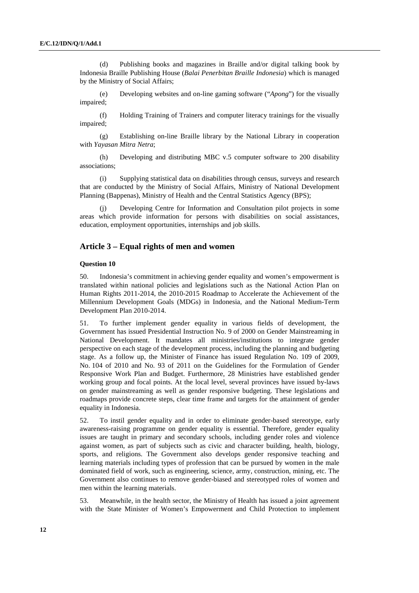(d) Publishing books and magazines in Braille and/or digital talking book by Indonesia Braille Publishing House (*Balai Penerbitan Braille Indonesia*) which is managed by the Ministry of Social Affairs;

(e) Developing websites and on-line gaming software ("*Apong*") for the visually impaired;

(f) Holding Training of Trainers and computer literacy trainings for the visually impaired;

(g) Establishing on-line Braille library by the National Library in cooperation with *Yayasan Mitra Netra*;

(h) Developing and distributing MBC v.5 computer software to 200 disability associations;

(i) Supplying statistical data on disabilities through census, surveys and research that are conducted by the Ministry of Social Affairs, Ministry of National Development Planning (Bappenas), Ministry of Health and the Central Statistics Agency (BPS);

(j) Developing Centre for Information and Consultation pilot projects in some areas which provide information for persons with disabilities on social assistances, education, employment opportunities, internships and job skills.

### **Article 3 – Equal rights of men and women**

### **Question 10**

50. Indonesia's commitment in achieving gender equality and women's empowerment is translated within national policies and legislations such as the National Action Plan on Human Rights 2011-2014, the 2010-2015 Roadmap to Accelerate the Achievement of the Millennium Development Goals (MDGs) in Indonesia, and the National Medium-Term Development Plan 2010-2014.

51. To further implement gender equality in various fields of development, the Government has issued Presidential Instruction No. 9 of 2000 on Gender Mainstreaming in National Development. It mandates all ministries/institutions to integrate gender perspective on each stage of the development process, including the planning and budgeting stage. As a follow up, the Minister of Finance has issued Regulation No. 109 of 2009, No. 104 of 2010 and No. 93 of 2011 on the Guidelines for the Formulation of Gender Responsive Work Plan and Budget. Furthermore, 28 Ministries have established gender working group and focal points. At the local level, several provinces have issued by-laws on gender mainstreaming as well as gender responsive budgeting. These legislations and roadmaps provide concrete steps, clear time frame and targets for the attainment of gender equality in Indonesia.

52. To instil gender equality and in order to eliminate gender-based stereotype, early awareness-raising programme on gender equality is essential. Therefore, gender equality issues are taught in primary and secondary schools, including gender roles and violence against women, as part of subjects such as civic and character building, health, biology, sports, and religions. The Government also develops gender responsive teaching and learning materials including types of profession that can be pursued by women in the male dominated field of work, such as engineering, science, army, construction, mining, etc. The Government also continues to remove gender-biased and stereotyped roles of women and men within the learning materials.

53. Meanwhile, in the health sector, the Ministry of Health has issued a joint agreement with the State Minister of Women's Empowerment and Child Protection to implement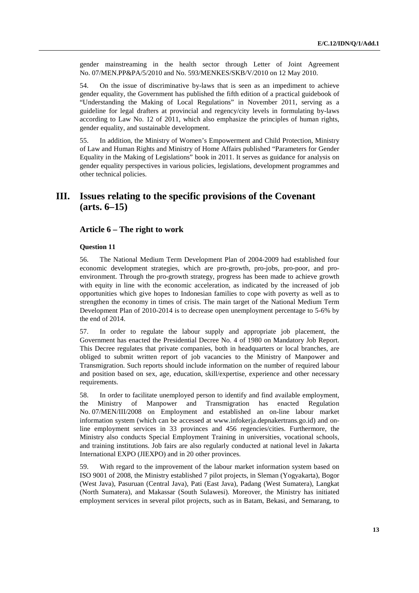gender mainstreaming in the health sector through Letter of Joint Agreement No. 07/MEN.PP&PA/5/2010 and No. 593/MENKES/SKB/V/2010 on 12 May 2010.

54. On the issue of discriminative by-laws that is seen as an impediment to achieve gender equality, the Government has published the fifth edition of a practical guidebook of "Understanding the Making of Local Regulations" in November 2011, serving as a guideline for legal drafters at provincial and regency/city levels in formulating by-laws according to Law No. 12 of 2011, which also emphasize the principles of human rights, gender equality, and sustainable development.

55. In addition, the Ministry of Women's Empowerment and Child Protection, Ministry of Law and Human Rights and Ministry of Home Affairs published "Parameters for Gender Equality in the Making of Legislations" book in 2011. It serves as guidance for analysis on gender equality perspectives in various policies, legislations, development programmes and other technical policies.

# **III. Issues relating to the specific provisions of the Covenant (arts. 6–15)**

## **Article 6 – The right to work**

#### **Question 11**

56. The National Medium Term Development Plan of 2004-2009 had established four economic development strategies, which are pro-growth, pro-jobs, pro-poor, and proenvironment. Through the pro-growth strategy, progress has been made to achieve growth with equity in line with the economic acceleration, as indicated by the increased of job opportunities which give hopes to Indonesian families to cope with poverty as well as to strengthen the economy in times of crisis. The main target of the National Medium Term Development Plan of 2010-2014 is to decrease open unemployment percentage to 5-6% by the end of 2014.

57. In order to regulate the labour supply and appropriate job placement, the Government has enacted the Presidential Decree No. 4 of 1980 on Mandatory Job Report. This Decree regulates that private companies, both in headquarters or local branches, are obliged to submit written report of job vacancies to the Ministry of Manpower and Transmigration. Such reports should include information on the number of required labour and position based on sex, age, education, skill/expertise, experience and other necessary requirements.

58. In order to facilitate unemployed person to identify and find available employment, the Ministry of Manpower and Transmigration has enacted Regulation No. 07/MEN/III/2008 on Employment and established an on-line labour market information system (which can be accessed at www.infokerja.depnakertrans.go.id) and online employment services in 33 provinces and 456 regencies/cities. Furthermore, the Ministry also conducts Special Employment Training in universities, vocational schools, and training institutions. Job fairs are also regularly conducted at national level in Jakarta International EXPO (JIEXPO) and in 20 other provinces.

59. With regard to the improvement of the labour market information system based on ISO 9001 of 2008, the Ministry established 7 pilot projects, in Sleman (Yogyakarta), Bogor (West Java), Pasuruan (Central Java), Pati (East Java), Padang (West Sumatera), Langkat (North Sumatera), and Makassar (South Sulawesi). Moreover, the Ministry has initiated employment services in several pilot projects, such as in Batam, Bekasi, and Semarang, to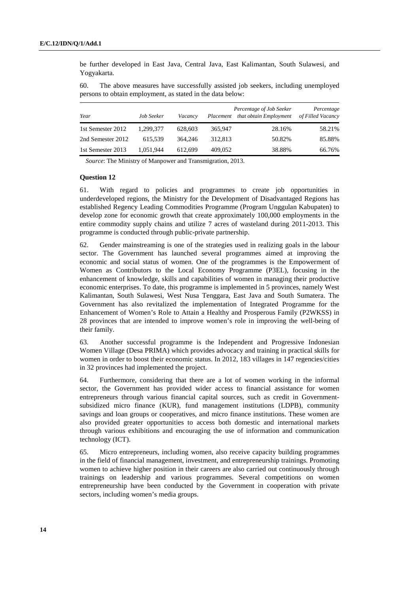be further developed in East Java, Central Java, East Kalimantan, South Sulawesi, and Yogyakarta.

60. The above measures have successfully assisted job seekers, including unemployed persons to obtain employment, as stated in the data below:

| Year              | Job Seeker | Vacancy | Placement | Percentage of Job Seeker<br>that obtain Employment | Percentage<br>of Filled Vacancy |
|-------------------|------------|---------|-----------|----------------------------------------------------|---------------------------------|
| 1st Semester 2012 | 1,299,377  | 628,603 | 365,947   | 28.16%                                             | 58.21%                          |
| 2nd Semester 2012 | 615.539    | 364.246 | 312,813   | 50.82%                                             | 85.88%                          |
| 1st Semester 2013 | 1,051,944  | 612.699 | 409,052   | 38.88%                                             | 66.76%                          |

*Source*: The Ministry of Manpower and Transmigration, 2013.

### **Question 12**

61. With regard to policies and programmes to create job opportunities in underdeveloped regions, the Ministry for the Development of Disadvantaged Regions has established Regency Leading Commodities Programme (Program Unggulan Kabupaten) to develop zone for economic growth that create approximately 100,000 employments in the entire commodity supply chains and utilize 7 acres of wasteland during 2011-2013. This programme is conducted through public-private partnership.

62. Gender mainstreaming is one of the strategies used in realizing goals in the labour sector. The Government has launched several programmes aimed at improving the economic and social status of women. One of the programmes is the Empowerment of Women as Contributors to the Local Economy Programme (P3EL), focusing in the enhancement of knowledge, skills and capabilities of women in managing their productive economic enterprises. To date, this programme is implemented in 5 provinces, namely West Kalimantan, South Sulawesi, West Nusa Tenggara, East Java and South Sumatera. The Government has also revitalized the implementation of Integrated Programme for the Enhancement of Women's Role to Attain a Healthy and Prosperous Family (P2WKSS) in 28 provinces that are intended to improve women's role in improving the well-being of their family.

63. Another successful programme is the Independent and Progressive Indonesian Women Village (Desa PRIMA) which provides advocacy and training in practical skills for women in order to boost their economic status. In 2012, 183 villages in 147 regencies/cities in 32 provinces had implemented the project.

64. Furthermore, considering that there are a lot of women working in the informal sector, the Government has provided wider access to financial assistance for women entrepreneurs through various financial capital sources, such as credit in Governmentsubsidized micro finance (KUR), fund management institutions (LDPB), community savings and loan groups or cooperatives, and micro finance institutions. These women are also provided greater opportunities to access both domestic and international markets through various exhibitions and encouraging the use of information and communication technology (ICT).

65. Micro entrepreneurs, including women, also receive capacity building programmes in the field of financial management, investment, and entrepreneurship trainings. Promoting women to achieve higher position in their careers are also carried out continuously through trainings on leadership and various programmes. Several competitions on women entrepreneurship have been conducted by the Government in cooperation with private sectors, including women's media groups.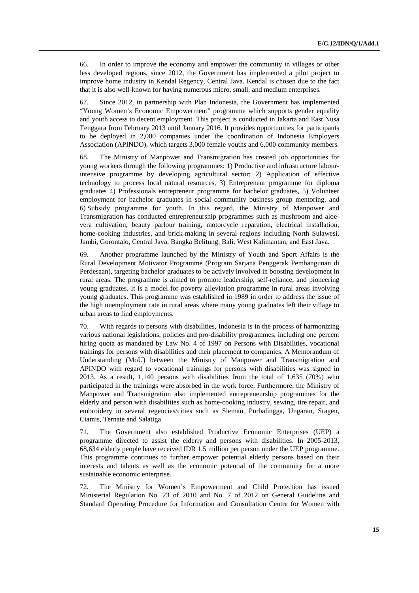66. In order to improve the economy and empower the community in villages or other less developed regions, since 2012, the Government has implemented a pilot project to improve home industry in Kendal Regency, Central Java. Kendal is chosen due to the fact that it is also well-known for having numerous micro, small, and medium enterprises.

67. Since 2012, in partnership with Plan Indonesia, the Government has implemented "Young Women's Economic Empowerment" programme which supports gender equality and youth access to decent employment. This project is conducted in Jakarta and East Nusa Tenggara from February 2013 until January 2016. It provides opportunities for participants to be deployed in 2,000 companies under the coordination of Indonesia Employers Association (APINDO), which targets 3,000 female youths and 6,000 community members.

68. The Ministry of Manpower and Transmigration has created job opportunities for young workers through the following programmes: 1) Productive and infrastructure labourintensive programme by developing agricultural sector; 2) Application of effective technology to process local natural resources, 3) Entrepreneur programme for diploma graduates 4) Professionals entrepreneur programme for bachelor graduates, 5) Volunteer employment for bachelor graduates in social community business group mentoring, and 6) Subsidy programme for youth. In this regard, the Ministry of Manpower and Transmigration has conducted entrepreneurship programmes such as mushroom and aloevera cultivation, beauty parlour training, motorcycle reparation, electrical installation, home-cooking industries, and brick-making in several regions including North Sulawesi, Jambi, Gorontalo, Central Java, Bangka Belitung, Bali, West Kalimantan, and East Java.

69. Another programme launched by the Ministry of Youth and Sport Affairs is the Rural Development Motivator Programme (Program Sarjana Penggerak Pembangunan di Perdesaan), targeting bachelor graduates to be actively involved in boosting development in rural areas. The programme is aimed to promote leadership, self-reliance, and pioneering young graduates. It is a model for poverty alleviation programme in rural areas involving young graduates. This programme was established in 1989 in order to address the issue of the high unemployment rate in rural areas where many young graduates left their village to urban areas to find employments.

70. With regards to persons with disabilities, Indonesia is in the process of harmonizing various national legislations, policies and pro-disability programmes, including one percent hiring quota as mandated by Law No. 4 of 1997 on Persons with Disabilities, vocational trainings for persons with disabilities and their placement to companies. A Memorandum of Understanding (MoU) between the Ministry of Manpower and Transmigration and APINDO with regard to vocational trainings for persons with disabilities was signed in 2013. As a result, 1,140 persons with disabilities from the total of 1,635 (70%) who participated in the trainings were absorbed in the work force. Furthermore, the Ministry of Manpower and Transmigration also implemented entrepreneurship programmes for the elderly and person with disabilities such as home-cooking industry, sewing, tire repair, and embroidery in several regencies/cities such as Sleman, Purbalingga, Ungaran, Sragen, Ciamis, Ternate and Salatiga.

71. The Government also established Productive Economic Enterprises (UEP) a programme directed to assist the elderly and persons with disabilities. In 2005-2013, 68,634 elderly people have received IDR 1.5 million per person under the UEP programme. This programme continues to further empower potential elderly persons based on their interests and talents as well as the economic potential of the community for a more sustainable economic enterprise.

72. The Ministry for Women's Empowerment and Child Protection has issued Ministerial Regulation No. 23 of 2010 and No. 7 of 2012 on General Guideline and Standard Operating Procedure for Information and Consultation Centre for Women with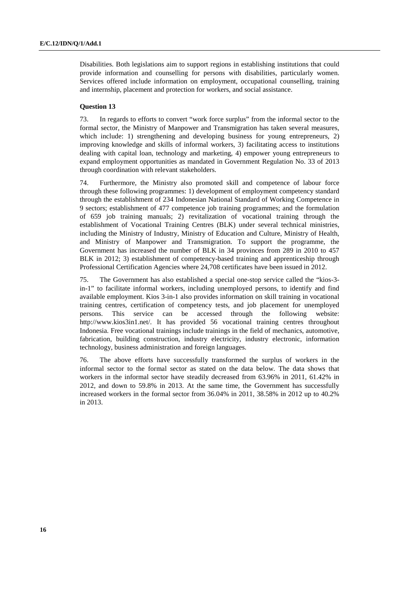Disabilities. Both legislations aim to support regions in establishing institutions that could provide information and counselling for persons with disabilities, particularly women. Services offered include information on employment, occupational counselling, training and internship, placement and protection for workers, and social assistance.

### **Question 13**

73. In regards to efforts to convert "work force surplus" from the informal sector to the formal sector, the Ministry of Manpower and Transmigration has taken several measures, which include: 1) strengthening and developing business for young entrepreneurs, 2) improving knowledge and skills of informal workers, 3) facilitating access to institutions dealing with capital loan, technology and marketing, 4) empower young entrepreneurs to expand employment opportunities as mandated in Government Regulation No. 33 of 2013 through coordination with relevant stakeholders.

74. Furthermore, the Ministry also promoted skill and competence of labour force through these following programmes: 1) development of employment competency standard through the establishment of 234 Indonesian National Standard of Working Competence in 9 sectors; establishment of 477 competence job training programmes; and the formulation of 659 job training manuals; 2) revitalization of vocational training through the establishment of Vocational Training Centres (BLK) under several technical ministries, including the Ministry of Industry, Ministry of Education and Culture, Ministry of Health, and Ministry of Manpower and Transmigration. To support the programme, the Government has increased the number of BLK in 34 provinces from 289 in 2010 to 457 BLK in 2012; 3) establishment of competency-based training and apprenticeship through Professional Certification Agencies where 24,708 certificates have been issued in 2012.

75. The Government has also established a special one-stop service called the "kios-3 in-1" to facilitate informal workers, including unemployed persons, to identify and find available employment. Kios 3-in-1 also provides information on skill training in vocational training centres, certification of competency tests, and job placement for unemployed persons. This service can be accessed through the following website: http://www.kios3in1.net/. It has provided 56 vocational training centres throughout Indonesia. Free vocational trainings include trainings in the field of mechanics, automotive, fabrication, building construction, industry electricity, industry electronic, information technology, business administration and foreign languages.

76. The above efforts have successfully transformed the surplus of workers in the informal sector to the formal sector as stated on the data below. The data shows that workers in the informal sector have steadily decreased from 63.96% in 2011, 61.42% in 2012, and down to 59.8% in 2013. At the same time, the Government has successfully increased workers in the formal sector from 36.04% in 2011, 38.58% in 2012 up to 40.2% in 2013.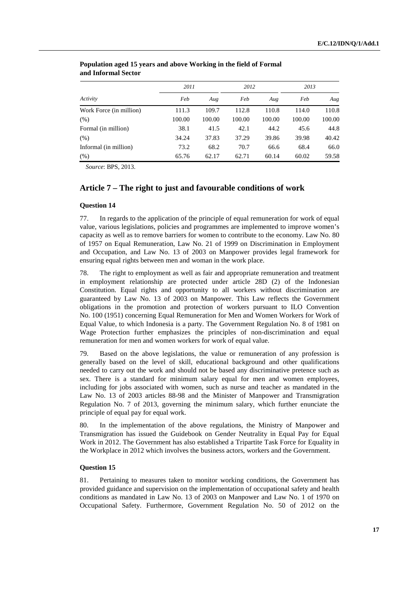|                         | 2011   |        | 2012   |        | 2013   |        |
|-------------------------|--------|--------|--------|--------|--------|--------|
| Activity                | Feb    | Aug    | Feb    | Aug    | Feb    | Aug    |
| Work Force (in million) | 111.3  | 109.7  | 112.8  | 110.8  | 114.0  | 110.8  |
| (% )                    | 100.00 | 100.00 | 100.00 | 100.00 | 100.00 | 100.00 |
| Formal (in million)     | 38.1   | 41.5   | 42.1   | 44.2   | 45.6   | 44.8   |
| (% )                    | 34.24  | 37.83  | 37.29  | 39.86  | 39.98  | 40.42  |
| Informal (in million)   | 73.2   | 68.2   | 70.7   | 66.6   | 68.4   | 66.0   |
| (% )                    | 65.76  | 62.17  | 62.71  | 60.14  | 60.02  | 59.58  |

### **Population aged 15 years and above Working in the field of Formal and Informal Sector**

*Source*: BPS, 2013.

# **Article 7 – The right to just and favourable conditions of work**

### **Question 14**

77. In regards to the application of the principle of equal remuneration for work of equal value, various legislations, policies and programmes are implemented to improve women's capacity as well as to remove barriers for women to contribute to the economy. Law No. 80 of 1957 on Equal Remuneration, Law No. 21 of 1999 on Discrimination in Employment and Occupation, and Law No. 13 of 2003 on Manpower provides legal framework for ensuring equal rights between men and woman in the work place.

78. The right to employment as well as fair and appropriate remuneration and treatment in employment relationship are protected under article 28D (2) of the Indonesian Constitution. Equal rights and opportunity to all workers without discrimination are guaranteed by Law No. 13 of 2003 on Manpower. This Law reflects the Government obligations in the promotion and protection of workers pursuant to ILO Convention No. 100 (1951) concerning Equal Remuneration for Men and Women Workers for Work of Equal Value, to which Indonesia is a party. The Government Regulation No. 8 of 1981 on Wage Protection further emphasizes the principles of non-discrimination and equal remuneration for men and women workers for work of equal value.

79. Based on the above legislations, the value or remuneration of any profession is generally based on the level of skill, educational background and other qualifications needed to carry out the work and should not be based any discriminative pretence such as sex. There is a standard for minimum salary equal for men and women employees, including for jobs associated with women, such as nurse and teacher as mandated in the Law No. 13 of 2003 articles 88-98 and the Minister of Manpower and Transmigration Regulation No. 7 of 2013, governing the minimum salary, which further enunciate the principle of equal pay for equal work.

80. In the implementation of the above regulations, the Ministry of Manpower and Transmigration has issued the Guidebook on Gender Neutrality in Equal Pay for Equal Work in 2012. The Government has also established a Tripartite Task Force for Equality in the Workplace in 2012 which involves the business actors, workers and the Government.

### **Question 15**

81. Pertaining to measures taken to monitor working conditions, the Government has provided guidance and supervision on the implementation of occupational safety and health conditions as mandated in Law No. 13 of 2003 on Manpower and Law No. 1 of 1970 on Occupational Safety. Furthermore, Government Regulation No. 50 of 2012 on the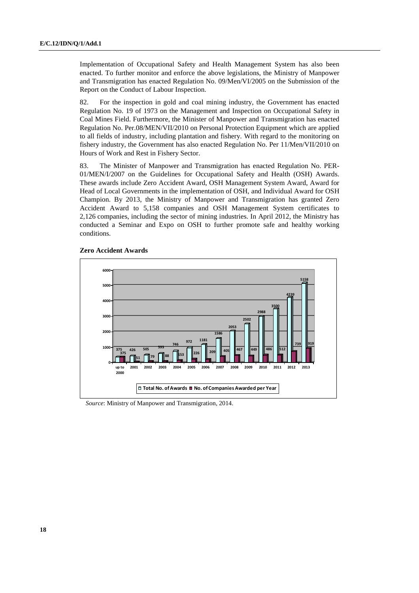Implementation of Occupational Safety and Health Management System has also been enacted. To further monitor and enforce the above legislations, the Ministry of Manpower and Transmigration has enacted Regulation No. 09/Men/VI/2005 on the Submission of the Report on the Conduct of Labour Inspection.

82. For the inspection in gold and coal mining industry, the Government has enacted Regulation No. 19 of 1973 on the Management and Inspection on Occupational Safety in Coal Mines Field. Furthermore, the Minister of Manpower and Transmigration has enacted Regulation No. Per.08/MEN/VII/2010 on Personal Protection Equipment which are applied to all fields of industry, including plantation and fishery. With regard to the monitoring on fishery industry, the Government has also enacted Regulation No. Per 11/Men/VII/2010 on Hours of Work and Rest in Fishery Sector.

83. The Minister of Manpower and Transmigration has enacted Regulation No. PER-01/MEN/I/2007 on the Guidelines for Occupational Safety and Health (OSH) Awards. These awards include Zero Accident Award, OSH Management System Award, Award for Head of Local Governments in the implementation of OSH, and Individual Award for OSH Champion. By 2013, the Ministry of Manpower and Transmigration has granted Zero Accident Award to 5,158 companies and OSH Management System certificates to 2,126 companies, including the sector of mining industries. In April 2012, the Ministry has conducted a Seminar and Expo on OSH to further promote safe and healthy working conditions.



 **Zero Accident Awards** 

*Source*: Ministry of Manpower and Transmigration, 2014.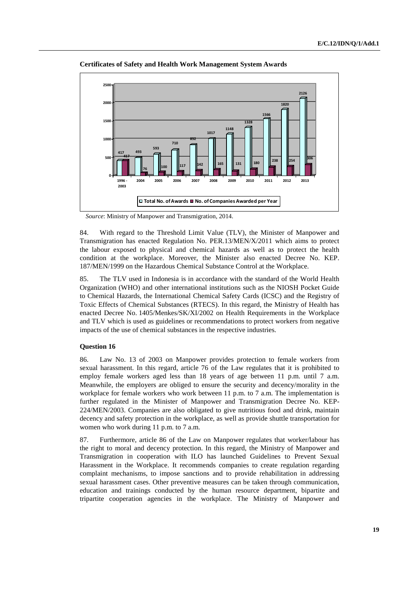

 **Certificates of Safety and Health Work Management System Awards** 

*Source*: Ministry of Manpower and Transmigration, 2014.

84. With regard to the Threshold Limit Value (TLV), the Minister of Manpower and Transmigration has enacted Regulation No. PER.13/MEN/X/2011 which aims to protect the labour exposed to physical and chemical hazards as well as to protect the health condition at the workplace. Moreover, the Minister also enacted Decree No. KEP. 187/MEN/1999 on the Hazardous Chemical Substance Control at the Workplace.

85. The TLV used in Indonesia is in accordance with the standard of the World Health Organization (WHO) and other international institutions such as the NIOSH Pocket Guide to Chemical Hazards, the International Chemical Safety Cards (ICSC) and the Registry of Toxic Effects of Chemical Substances (RTECS). In this regard, the Ministry of Health has enacted Decree No. 1405/Menkes/SK/XI/2002 on Health Requirements in the Workplace and TLV which is used as guidelines or recommendations to protect workers from negative impacts of the use of chemical substances in the respective industries.

### **Question 16**

86. Law No. 13 of 2003 on Manpower provides protection to female workers from sexual harassment. In this regard, article 76 of the Law regulates that it is prohibited to employ female workers aged less than 18 years of age between 11 p.m. until 7 a.m. Meanwhile, the employers are obliged to ensure the security and decency/morality in the workplace for female workers who work between 11 p.m. to 7 a.m. The implementation is further regulated in the Minister of Manpower and Transmigration Decree No. KEP-224/MEN/2003. Companies are also obligated to give nutritious food and drink, maintain decency and safety protection in the workplace, as well as provide shuttle transportation for women who work during 11 p.m. to 7 a.m.

87. Furthermore, article 86 of the Law on Manpower regulates that worker/labour has the right to moral and decency protection. In this regard, the Ministry of Manpower and Transmigration in cooperation with ILO has launched Guidelines to Prevent Sexual Harassment in the Workplace. It recommends companies to create regulation regarding complaint mechanisms, to impose sanctions and to provide rehabilitation in addressing sexual harassment cases. Other preventive measures can be taken through communication, education and trainings conducted by the human resource department, bipartite and tripartite cooperation agencies in the workplace. The Ministry of Manpower and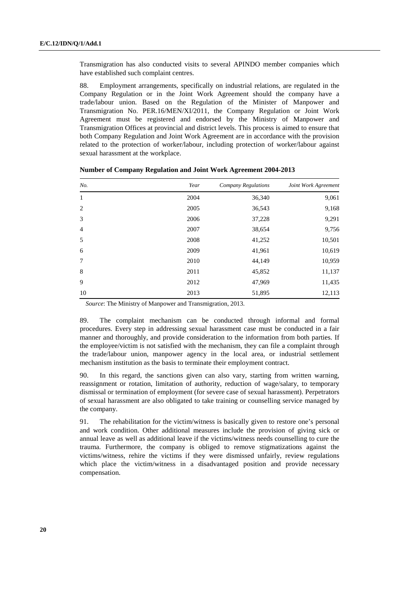Transmigration has also conducted visits to several APINDO member companies which have established such complaint centres.

88. Employment arrangements, specifically on industrial relations, are regulated in the Company Regulation or in the Joint Work Agreement should the company have a trade/labour union. Based on the Regulation of the Minister of Manpower and Transmigration No. PER.16/MEN/XI/2011, the Company Regulation or Joint Work Agreement must be registered and endorsed by the Ministry of Manpower and Transmigration Offices at provincial and district levels. This process is aimed to ensure that both Company Regulation and Joint Work Agreement are in accordance with the provision related to the protection of worker/labour, including protection of worker/labour against sexual harassment at the workplace.

| No.            | Year | <b>Company Regulations</b> | Joint Work Agreement |
|----------------|------|----------------------------|----------------------|
| 1              | 2004 | 36,340                     | 9,061                |
| $\overline{c}$ | 2005 | 36,543                     | 9,168                |
| 3              | 2006 | 37,228                     | 9,291                |
| $\overline{4}$ | 2007 | 38,654                     | 9,756                |
| 5              | 2008 | 41,252                     | 10,501               |
| 6              | 2009 | 41,961                     | 10,619               |
| 7              | 2010 | 44,149                     | 10,959               |
| 8              | 2011 | 45,852                     | 11,137               |
| 9              | 2012 | 47,969                     | 11,435               |
| 10             | 2013 | 51,895                     | 12,113               |

 **Number of Company Regulation and Joint Work Agreement 2004-2013** 

*Source*: The Ministry of Manpower and Transmigration, 2013.

89. The complaint mechanism can be conducted through informal and formal procedures. Every step in addressing sexual harassment case must be conducted in a fair manner and thoroughly, and provide consideration to the information from both parties. If the employee/victim is not satisfied with the mechanism, they can file a complaint through the trade/labour union, manpower agency in the local area, or industrial settlement mechanism institution as the basis to terminate their employment contract.

90. In this regard, the sanctions given can also vary, starting from written warning, reassignment or rotation, limitation of authority, reduction of wage/salary, to temporary dismissal or termination of employment (for severe case of sexual harassment). Perpetrators of sexual harassment are also obligated to take training or counselling service managed by the company.

91. The rehabilitation for the victim/witness is basically given to restore one's personal and work condition. Other additional measures include the provision of giving sick or annual leave as well as additional leave if the victims/witness needs counselling to cure the trauma. Furthermore, the company is obliged to remove stigmatizations against the victims/witness, rehire the victims if they were dismissed unfairly, review regulations which place the victim/witness in a disadvantaged position and provide necessary compensation.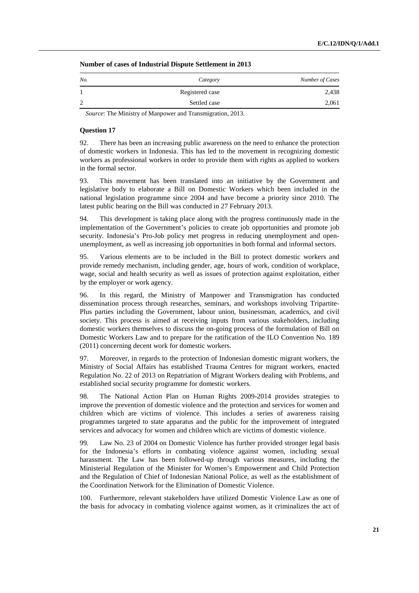| No.            | Category        | Number of Cases |
|----------------|-----------------|-----------------|
|                | Registered case | 2,438           |
| $\overline{2}$ | Settled case    | 2,061           |

 **Number of cases of Industrial Dispute Settlement in 2013** 

*Source*: The Ministry of Manpower and Transmigration, 2013.

#### **Question 17**

92. There has been an increasing public awareness on the need to enhance the protection of domestic workers in Indonesia. This has led to the movement in recognizing domestic workers as professional workers in order to provide them with rights as applied to workers in the formal sector.

93. This movement has been translated into an initiative by the Government and legislative body to elaborate a Bill on Domestic Workers which been included in the national legislation programme since 2004 and have become a priority since 2010. The latest public hearing on the Bill was conducted in 27 February 2013.

94. This development is taking place along with the progress continuously made in the implementation of the Government's policies to create job opportunities and promote job security. Indonesia's Pro-Job policy met progress in reducing unemployment and openunemployment, as well as increasing job opportunities in both formal and informal sectors.

95. Various elements are to be included in the Bill to protect domestic workers and provide remedy mechanism, including gender, age, hours of work, condition of workplace, wage, social and health security as well as issues of protection against exploitation, either by the employer or work agency.

96. In this regard, the Ministry of Manpower and Transmigration has conducted dissemination process through researches, seminars, and workshops involving Tripartite-Plus parties including the Government, labour union, businessman, academics, and civil society. This process is aimed at receiving inputs from various stakeholders, including domestic workers themselves to discuss the on-going process of the formulation of Bill on Domestic Workers Law and to prepare for the ratification of the ILO Convention No. 189 (2011) concerning decent work for domestic workers.

97. Moreover, in regards to the protection of Indonesian domestic migrant workers, the Ministry of Social Affairs has established Trauma Centres for migrant workers, enacted Regulation No. 22 of 2013 on Repatriation of Migrant Workers dealing with Problems, and established social security programme for domestic workers.

98. The National Action Plan on Human Rights 2009-2014 provides strategies to improve the prevention of domestic violence and the protection and services for women and children which are victims of violence. This includes a series of awareness raising programmes targeted to state apparatus and the public for the improvement of integrated services and advocacy for women and children which are victims of domestic violence.

99. Law No. 23 of 2004 on Domestic Violence has further provided stronger legal basis for the Indonesia's efforts in combating violence against women, including sexual harassment. The Law has been followed-up through various measures, including the Ministerial Regulation of the Minister for Women's Empowerment and Child Protection and the Regulation of Chief of Indonesian National Police, as well as the establishment of the Coordination Network for the Elimination of Domestic Violence.

100. Furthermore, relevant stakeholders have utilized Domestic Violence Law as one of the basis for advocacy in combating violence against women, as it criminalizes the act of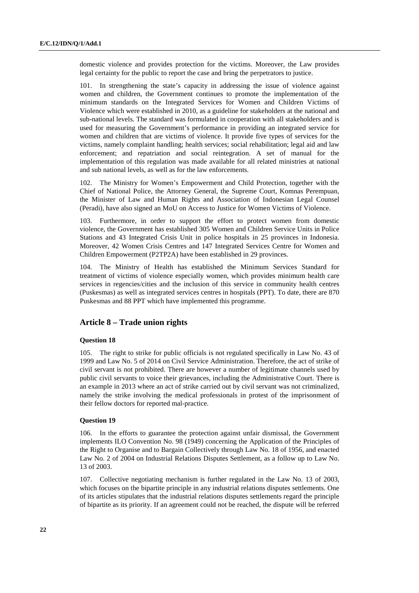domestic violence and provides protection for the victims. Moreover, the Law provides legal certainty for the public to report the case and bring the perpetrators to justice.

101. In strengthening the state's capacity in addressing the issue of violence against women and children, the Government continues to promote the implementation of the minimum standards on the Integrated Services for Women and Children Victims of Violence which were established in 2010, as a guideline for stakeholders at the national and sub-national levels. The standard was formulated in cooperation with all stakeholders and is used for measuring the Government's performance in providing an integrated service for women and children that are victims of violence. It provide five types of services for the victims, namely complaint handling; health services; social rehabilitation; legal aid and law enforcement; and repatriation and social reintegration. A set of manual for the implementation of this regulation was made available for all related ministries at national and sub national levels, as well as for the law enforcements.

102. The Ministry for Women's Empowerment and Child Protection, together with the Chief of National Police, the Attorney General, the Supreme Court, Komnas Perempuan, the Minister of Law and Human Rights and Association of Indonesian Legal Counsel (Peradi), have also signed an MoU on Access to Justice for Women Victims of Violence.

103. Furthermore, in order to support the effort to protect women from domestic violence, the Government has established 305 Women and Children Service Units in Police Stations and 43 Integrated Crisis Unit in police hospitals in 25 provinces in Indonesia. Moreover, 42 Women Crisis Centres and 147 Integrated Services Centre for Women and Children Empowerment (P2TP2A) have been established in 29 provinces.

104. The Ministry of Health has established the Minimum Services Standard for treatment of victims of violence especially women, which provides minimum health care services in regencies/cities and the inclusion of this service in community health centres (Puskesmas) as well as integrated services centres in hospitals (PPT). To date, there are 870 Puskesmas and 88 PPT which have implemented this programme.

# **Article 8 – Trade union rights**

### **Question 18**

105. The right to strike for public officials is not regulated specifically in Law No. 43 of 1999 and Law No. 5 of 2014 on Civil Service Administration. Therefore, the act of strike of civil servant is not prohibited. There are however a number of legitimate channels used by public civil servants to voice their grievances, including the Administrative Court. There is an example in 2013 where an act of strike carried out by civil servant was not criminalized, namely the strike involving the medical professionals in protest of the imprisonment of their fellow doctors for reported mal-practice.

### **Question 19**

106. In the efforts to guarantee the protection against unfair dismissal, the Government implements ILO Convention No. 98 (1949) concerning the Application of the Principles of the Right to Organise and to Bargain Collectively through Law No. 18 of 1956, and enacted Law No. 2 of 2004 on Industrial Relations Disputes Settlement, as a follow up to Law No. 13 of 2003.

107. Collective negotiating mechanism is further regulated in the Law No. 13 of 2003, which focuses on the bipartite principle in any industrial relations disputes settlements. One of its articles stipulates that the industrial relations disputes settlements regard the principle of bipartite as its priority. If an agreement could not be reached, the dispute will be referred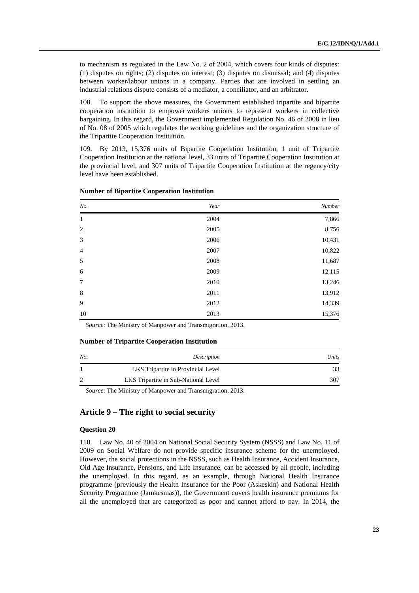to mechanism as regulated in the Law No. 2 of 2004, which covers four kinds of disputes: (1) disputes on rights; (2) disputes on interest; (3) disputes on dismissal; and (4) disputes between worker/labour unions in a company. Parties that are involved in settling an industrial relations dispute consists of a mediator, a conciliator, and an arbitrator.

108. To support the above measures, the Government established tripartite and bipartite cooperation institution to empower workers unions to represent workers in collective bargaining. In this regard, the Government implemented Regulation No. 46 of 2008 in lieu of No. 08 of 2005 which regulates the working guidelines and the organization structure of the Tripartite Cooperation Institution.

109. By 2013, 15,376 units of Bipartite Cooperation Institution, 1 unit of Tripartite Cooperation Institution at the national level, 33 units of Tripartite Cooperation Institution at the provincial level, and 307 units of Tripartite Cooperation Institution at the regency/city level have been established.

| No.         | Year | Number |
|-------------|------|--------|
| 1           | 2004 | 7,866  |
| 2           | 2005 | 8,756  |
| 3           | 2006 | 10,431 |
| 4           | 2007 | 10,822 |
| 5           | 2008 | 11,687 |
| 6           | 2009 | 12,115 |
| $\tau$      | 2010 | 13,246 |
| $\,$ 8 $\,$ | 2011 | 13,912 |
| 9           | 2012 | 14,339 |
| 10          | 2013 | 15,376 |

#### **Number of Bipartite Cooperation Institution**

*Source*: The Ministry of Manpower and Transmigration, 2013.

### **Number of Tripartite Cooperation Institution**

| No. | Description                          | Units |
|-----|--------------------------------------|-------|
|     | LKS Tripartite in Provincial Level   |       |
|     | LKS Tripartite in Sub-National Level | 307   |

*Source*: The Ministry of Manpower and Transmigration, 2013.

# **Article 9 – The right to social security**

### **Question 20**

110. Law No. 40 of 2004 on National Social Security System (NSSS) and Law No. 11 of 2009 on Social Welfare do not provide specific insurance scheme for the unemployed. However, the social protections in the NSSS, such as Health Insurance, Accident Insurance, Old Age Insurance, Pensions, and Life Insurance, can be accessed by all people, including the unemployed. In this regard, as an example, through National Health Insurance programme (previously the Health Insurance for the Poor (Askeskin) and National Health Security Programme (Jamkesmas)), the Government covers health insurance premiums for all the unemployed that are categorized as poor and cannot afford to pay. In 2014, the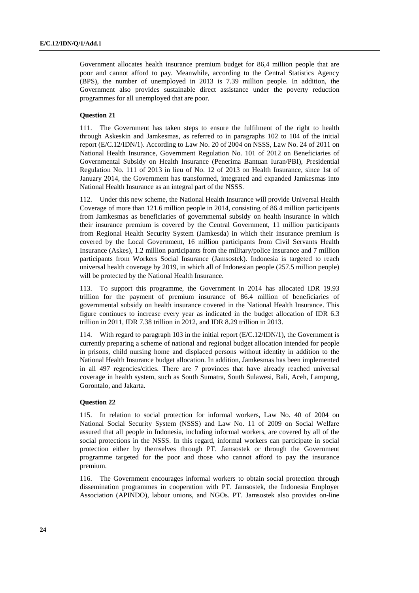Government allocates health insurance premium budget for 86,4 million people that are poor and cannot afford to pay. Meanwhile, according to the Central Statistics Agency (BPS), the number of unemployed in 2013 is 7.39 million people. In addition, the Government also provides sustainable direct assistance under the poverty reduction programmes for all unemployed that are poor.

### **Question 21**

111. The Government has taken steps to ensure the fulfilment of the right to health through Askeskin and Jamkesmas, as referred to in paragraphs 102 to 104 of the initial report (E/C.12/IDN/1). According to Law No. 20 of 2004 on NSSS, Law No. 24 of 2011 on National Health Insurance, Government Regulation No. 101 of 2012 on Beneficiaries of Governmental Subsidy on Health Insurance (Penerima Bantuan Iuran/PBI), Presidential Regulation No. 111 of 2013 in lieu of No. 12 of 2013 on Health Insurance, since 1st of January 2014, the Government has transformed, integrated and expanded Jamkesmas into National Health Insurance as an integral part of the NSSS.

112. Under this new scheme, the National Health Insurance will provide Universal Health Coverage of more than 121.6 million people in 2014, consisting of 86.4 million participants from Jamkesmas as beneficiaries of governmental subsidy on health insurance in which their insurance premium is covered by the Central Government, 11 million participants from Regional Health Security System (Jamkesda) in which their insurance premium is covered by the Local Government, 16 million participants from Civil Servants Health Insurance (Askes), 1.2 million participants from the military/police insurance and 7 million participants from Workers Social Insurance (Jamsostek). Indonesia is targeted to reach universal health coverage by 2019, in which all of Indonesian people (257.5 million people) will be protected by the National Health Insurance.

113. To support this programme, the Government in 2014 has allocated IDR 19.93 trillion for the payment of premium insurance of 86.4 million of beneficiaries of governmental subsidy on health insurance covered in the National Health Insurance. This figure continues to increase every year as indicated in the budget allocation of IDR 6.3 trillion in 2011, IDR 7.38 trillion in 2012, and IDR 8.29 trillion in 2013.

114. With regard to paragraph 103 in the initial report (E/C.12/IDN/1), the Government is currently preparing a scheme of national and regional budget allocation intended for people in prisons, child nursing home and displaced persons without identity in addition to the National Health Insurance budget allocation. In addition, Jamkesmas has been implemented in all 497 regencies/cities. There are 7 provinces that have already reached universal coverage in health system, such as South Sumatra, South Sulawesi, Bali, Aceh, Lampung, Gorontalo, and Jakarta.

### **Question 22**

115. In relation to social protection for informal workers, Law No. 40 of 2004 on National Social Security System (NSSS) and Law No. 11 of 2009 on Social Welfare assured that all people in Indonesia, including informal workers, are covered by all of the social protections in the NSSS. In this regard, informal workers can participate in social protection either by themselves through PT. Jamsostek or through the Government programme targeted for the poor and those who cannot afford to pay the insurance premium.

116. The Government encourages informal workers to obtain social protection through dissemination programmes in cooperation with PT. Jamsostek, the Indonesia Employer Association (APINDO), labour unions, and NGOs. PT. Jamsostek also provides on-line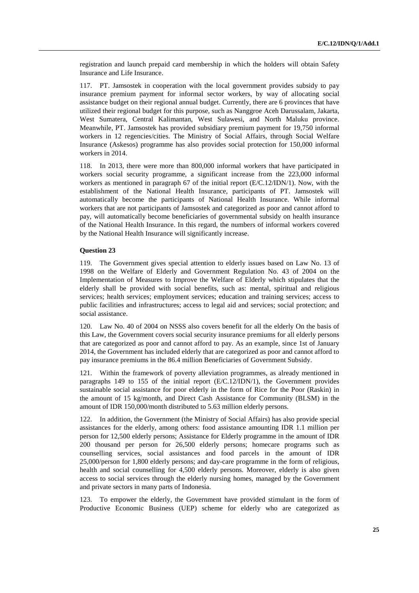registration and launch prepaid card membership in which the holders will obtain Safety Insurance and Life Insurance.

117. PT. Jamsostek in cooperation with the local government provides subsidy to pay insurance premium payment for informal sector workers, by way of allocating social assistance budget on their regional annual budget. Currently, there are 6 provinces that have utilized their regional budget for this purpose, such as Nanggroe Aceh Darussalam, Jakarta, West Sumatera, Central Kalimantan, West Sulawesi, and North Maluku province. Meanwhile, PT. Jamsostek has provided subsidiary premium payment for 19,750 informal workers in 12 regencies/cities. The Ministry of Social Affairs, through Social Welfare Insurance (Askesos) programme has also provides social protection for 150,000 informal workers in 2014.

118. In 2013, there were more than 800,000 informal workers that have participated in workers social security programme, a significant increase from the 223,000 informal workers as mentioned in paragraph 67 of the initial report (E/C.12/IDN/1). Now, with the establishment of the National Health Insurance, participants of PT. Jamsostek will automatically become the participants of National Health Insurance. While informal workers that are not participants of Jamsostek and categorized as poor and cannot afford to pay, will automatically become beneficiaries of governmental subsidy on health insurance of the National Health Insurance. In this regard, the numbers of informal workers covered by the National Health Insurance will significantly increase.

### **Question 23**

119. The Government gives special attention to elderly issues based on Law No. 13 of 1998 on the Welfare of Elderly and Government Regulation No. 43 of 2004 on the Implementation of Measures to Improve the Welfare of Elderly which stipulates that the elderly shall be provided with social benefits, such as: mental, spiritual and religious services; health services; employment services; education and training services; access to public facilities and infrastructures; access to legal aid and services; social protection; and social assistance.

120. Law No. 40 of 2004 on NSSS also covers benefit for all the elderly On the basis of this Law, the Government covers social security insurance premiums for all elderly persons that are categorized as poor and cannot afford to pay. As an example, since 1st of January 2014, the Government has included elderly that are categorized as poor and cannot afford to pay insurance premiums in the 86.4 million Beneficiaries of Government Subsidy.

121. Within the framework of poverty alleviation programmes, as already mentioned in paragraphs 149 to 155 of the initial report (E/C.12/IDN/1), the Government provides sustainable social assistance for poor elderly in the form of Rice for the Poor (Raskin) in the amount of 15 kg/month, and Direct Cash Assistance for Community (BLSM) in the amount of IDR 150,000/month distributed to 5.63 million elderly persons.

122. In addition, the Government (the Ministry of Social Affairs) has also provide special assistances for the elderly, among others: food assistance amounting IDR 1.1 million per person for 12,500 elderly persons; Assistance for Elderly programme in the amount of IDR 200 thousand per person for 26,500 elderly persons; homecare programs such as counselling services, social assistances and food parcels in the amount of IDR 25,000/person for 1,800 elderly persons; and day-care programme in the form of religious, health and social counselling for 4,500 elderly persons. Moreover, elderly is also given access to social services through the elderly nursing homes, managed by the Government and private sectors in many parts of Indonesia.

123. To empower the elderly, the Government have provided stimulant in the form of Productive Economic Business (UEP) scheme for elderly who are categorized as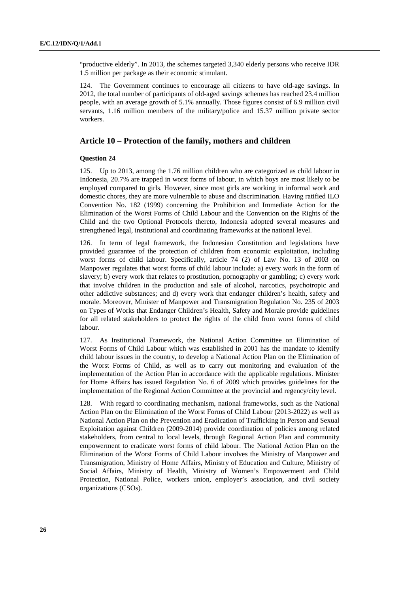"productive elderly". In 2013, the schemes targeted 3,340 elderly persons who receive IDR 1.5 million per package as their economic stimulant.

124. The Government continues to encourage all citizens to have old-age savings. In 2012, the total number of participants of old-aged savings schemes has reached 23.4 million people, with an average growth of 5.1% annually. Those figures consist of 6.9 million civil servants, 1.16 million members of the military/police and 15.37 million private sector workers.

### **Article 10 – Protection of the family, mothers and children**

### **Question 24**

125. Up to 2013, among the 1.76 million children who are categorized as child labour in Indonesia, 20.7% are trapped in worst forms of labour, in which boys are most likely to be employed compared to girls. However, since most girls are working in informal work and domestic chores, they are more vulnerable to abuse and discrimination. Having ratified ILO Convention No. 182 (1999) concerning the Prohibition and Immediate Action for the Elimination of the Worst Forms of Child Labour and the Convention on the Rights of the Child and the two Optional Protocols thereto, Indonesia adopted several measures and strengthened legal, institutional and coordinating frameworks at the national level.

126. In term of legal framework, the Indonesian Constitution and legislations have provided guarantee of the protection of children from economic exploitation, including worst forms of child labour. Specifically, article 74 (2) of Law No. 13 of 2003 on Manpower regulates that worst forms of child labour include: a) every work in the form of slavery; b) every work that relates to prostitution, pornography or gambling; c) every work that involve children in the production and sale of alcohol, narcotics, psychotropic and other addictive substances; and d) every work that endanger children's health, safety and morale. Moreover, Minister of Manpower and Transmigration Regulation No. 235 of 2003 on Types of Works that Endanger Children's Health, Safety and Morale provide guidelines for all related stakeholders to protect the rights of the child from worst forms of child labour.

127. As Institutional Framework, the National Action Committee on Elimination of Worst Forms of Child Labour which was established in 2001 has the mandate to identify child labour issues in the country, to develop a National Action Plan on the Elimination of the Worst Forms of Child, as well as to carry out monitoring and evaluation of the implementation of the Action Plan in accordance with the applicable regulations. Minister for Home Affairs has issued Regulation No. 6 of 2009 which provides guidelines for the implementation of the Regional Action Committee at the provincial and regency/city level.

With regard to coordinating mechanism, national frameworks, such as the National Action Plan on the Elimination of the Worst Forms of Child Labour (2013-2022) as well as National Action Plan on the Prevention and Eradication of Trafficking in Person and Sexual Exploitation against Children (2009-2014) provide coordination of policies among related stakeholders, from central to local levels, through Regional Action Plan and community empowerment to eradicate worst forms of child labour. The National Action Plan on the Elimination of the Worst Forms of Child Labour involves the Ministry of Manpower and Transmigration, Ministry of Home Affairs, Ministry of Education and Culture, Ministry of Social Affairs, Ministry of Health, Ministry of Women's Empowerment and Child Protection, National Police, workers union, employer's association, and civil society organizations (CSOs).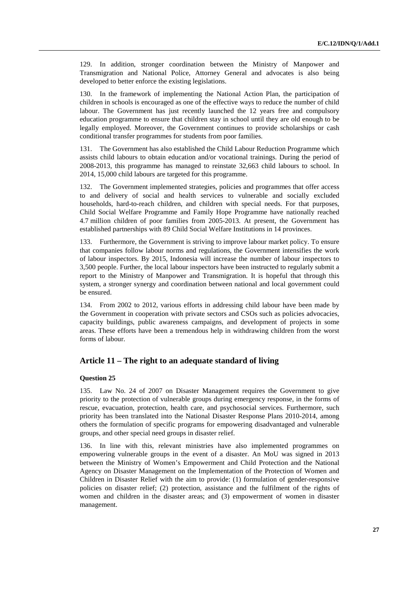129. In addition, stronger coordination between the Ministry of Manpower and Transmigration and National Police, Attorney General and advocates is also being developed to better enforce the existing legislations.

130. In the framework of implementing the National Action Plan, the participation of children in schools is encouraged as one of the effective ways to reduce the number of child labour. The Government has just recently launched the 12 years free and compulsory education programme to ensure that children stay in school until they are old enough to be legally employed. Moreover, the Government continues to provide scholarships or cash conditional transfer programmes for students from poor families.

131. The Government has also established the Child Labour Reduction Programme which assists child labours to obtain education and/or vocational trainings. During the period of 2008-2013, this programme has managed to reinstate 32,663 child labours to school. In 2014, 15,000 child labours are targeted for this programme.

132. The Government implemented strategies, policies and programmes that offer access to and delivery of social and health services to vulnerable and socially excluded households, hard-to-reach children, and children with special needs. For that purposes, Child Social Welfare Programme and Family Hope Programme have nationally reached 4.7 million children of poor families from 2005-2013. At present, the Government has established partnerships with 89 Child Social Welfare Institutions in 14 provinces.

133. Furthermore, the Government is striving to improve labour market policy. To ensure that companies follow labour norms and regulations, the Government intensifies the work of labour inspectors. By 2015, Indonesia will increase the number of labour inspectors to 3,500 people. Further, the local labour inspectors have been instructed to regularly submit a report to the Ministry of Manpower and Transmigration. It is hopeful that through this system, a stronger synergy and coordination between national and local government could be ensured.

134. From 2002 to 2012, various efforts in addressing child labour have been made by the Government in cooperation with private sectors and CSOs such as policies advocacies, capacity buildings, public awareness campaigns, and development of projects in some areas. These efforts have been a tremendous help in withdrawing children from the worst forms of labour.

# **Article 11 – The right to an adequate standard of living**

#### **Question 25**

135. Law No. 24 of 2007 on Disaster Management requires the Government to give priority to the protection of vulnerable groups during emergency response, in the forms of rescue, evacuation, protection, health care, and psychosocial services. Furthermore, such priority has been translated into the National Disaster Response Plans 2010-2014, among others the formulation of specific programs for empowering disadvantaged and vulnerable groups, and other special need groups in disaster relief.

136. In line with this, relevant ministries have also implemented programmes on empowering vulnerable groups in the event of a disaster. An MoU was signed in 2013 between the Ministry of Women's Empowerment and Child Protection and the National Agency on Disaster Management on the Implementation of the Protection of Women and Children in Disaster Relief with the aim to provide: (1) formulation of gender-responsive policies on disaster relief; (2) protection, assistance and the fulfilment of the rights of women and children in the disaster areas; and (3) empowerment of women in disaster management.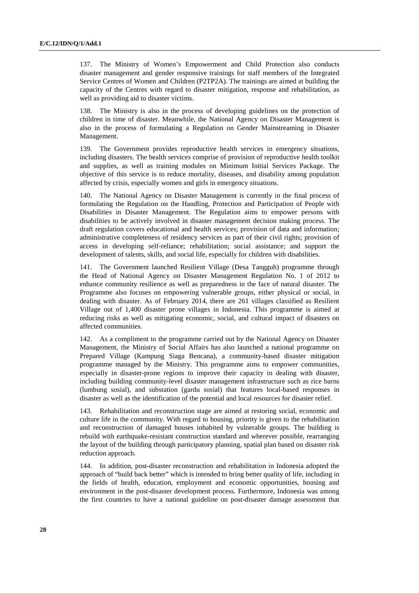137. The Ministry of Women's Empowerment and Child Protection also conducts disaster management and gender responsive trainings for staff members of the Integrated Service Centres of Women and Children (P2TP2A). The trainings are aimed at building the capacity of the Centres with regard to disaster mitigation, response and rehabilitation, as well as providing aid to disaster victims.

138. The Ministry is also in the process of developing guidelines on the protection of children in time of disaster. Meanwhile, the National Agency on Disaster Management is also in the process of formulating a Regulation on Gender Mainstreaming in Disaster Management.

139. The Government provides reproductive health services in emergency situations, including disasters. The health services comprise of provision of reproductive health toolkit and supplies, as well as training modules on Minimum Initial Services Package. The objective of this service is to reduce mortality, diseases, and disability among population affected by crisis, especially women and girls in emergency situations.

140. The National Agency on Disaster Management is currently in the final process of formulating the Regulation on the Handling, Protection and Participation of People with Disabilities in Disaster Management. The Regulation aims to empower persons with disabilities to be actively involved in disaster management decision making process. The draft regulation covers educational and health services; provision of data and information; administrative completeness of residency services as part of their civil rights; provision of access in developing self-reliance; rehabilitation; social assistance; and support the development of talents, skills, and social life, especially for children with disabilities.

141. The Government launched Resilient Village (Desa Tangguh) programme through the Head of National Agency on Disaster Management Regulation No. 1 of 2012 to enhance community resilience as well as preparedness in the face of natural disaster. The Programme also focuses on empowering vulnerable groups, either physical or social, in dealing with disaster. As of February 2014, there are 261 villages classified as Resilient Village out of 1,400 disaster prone villages in Indonesia. This programme is aimed at reducing risks as well as mitigating economic, social, and cultural impact of disasters on affected communities.

142. As a compliment to the programme carried out by the National Agency on Disaster Management, the Ministry of Social Affairs has also launched a national programme on Prepared Village (Kampung Siaga Bencana), a community-based disaster mitigation programme managed by the Ministry. This programme aims to empower communities, especially in disaster-prone regions to improve their capacity in dealing with disaster, including building community-level disaster management infrastructure such as rice barns (lumbung sosial), and substation (gardu sosial) that features local-based responses in disaster as well as the identification of the potential and local resources for disaster relief.

143. Rehabilitation and reconstruction stage are aimed at restoring social, economic and culture life in the community. With regard to housing, priority is given to the rehabilitation and reconstruction of damaged houses inhabited by vulnerable groups. The building is rebuild with earthquake-resistant construction standard and wherever possible, rearranging the layout of the building through participatory planning, spatial plan based on disaster risk reduction approach.

144. In addition, post-disaster reconstruction and rehabilitation in Indonesia adopted the approach of "build back better" which is intended to bring better quality of life, including in the fields of health, education, employment and economic opportunities, housing and environment in the post-disaster development process. Furthermore, Indonesia was among the first countries to have a national guideline on post-disaster damage assessment that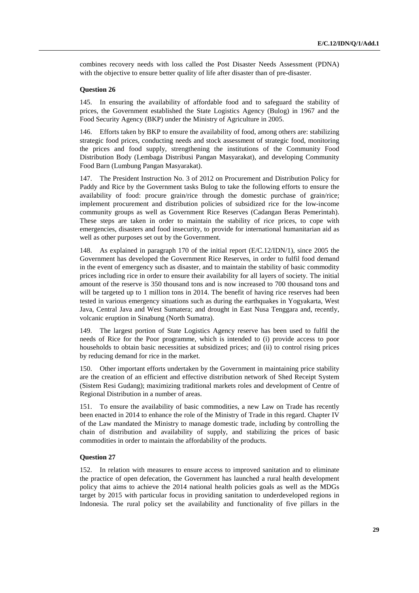combines recovery needs with loss called the Post Disaster Needs Assessment (PDNA) with the objective to ensure better quality of life after disaster than of pre-disaster.

### **Question 26**

145. In ensuring the availability of affordable food and to safeguard the stability of prices, the Government established the State Logistics Agency (Bulog) in 1967 and the Food Security Agency (BKP) under the Ministry of Agriculture in 2005.

146. Efforts taken by BKP to ensure the availability of food, among others are: stabilizing strategic food prices, conducting needs and stock assessment of strategic food, monitoring the prices and food supply, strengthening the institutions of the Community Food Distribution Body (Lembaga Distribusi Pangan Masyarakat), and developing Community Food Barn (Lumbung Pangan Masyarakat).

147. The President Instruction No. 3 of 2012 on Procurement and Distribution Policy for Paddy and Rice by the Government tasks Bulog to take the following efforts to ensure the availability of food: procure grain/rice through the domestic purchase of grain/rice; implement procurement and distribution policies of subsidized rice for the low-income community groups as well as Government Rice Reserves (Cadangan Beras Pemerintah). These steps are taken in order to maintain the stability of rice prices, to cope with emergencies, disasters and food insecurity, to provide for international humanitarian aid as well as other purposes set out by the Government.

148. As explained in paragraph 170 of the initial report (E/C.12/IDN/1), since 2005 the Government has developed the Government Rice Reserves, in order to fulfil food demand in the event of emergency such as disaster, and to maintain the stability of basic commodity prices including rice in order to ensure their availability for all layers of society. The initial amount of the reserve is 350 thousand tons and is now increased to 700 thousand tons and will be targeted up to 1 million tons in 2014. The benefit of having rice reserves had been tested in various emergency situations such as during the earthquakes in Yogyakarta, West Java, Central Java and West Sumatera; and drought in East Nusa Tenggara and, recently, volcanic eruption in Sinabung (North Sumatra).

149. The largest portion of State Logistics Agency reserve has been used to fulfil the needs of Rice for the Poor programme, which is intended to (i) provide access to poor households to obtain basic necessities at subsidized prices; and (ii) to control rising prices by reducing demand for rice in the market.

150. Other important efforts undertaken by the Government in maintaining price stability are the creation of an efficient and effective distribution network of Shed Receipt System (Sistem Resi Gudang); maximizing traditional markets roles and development of Centre of Regional Distribution in a number of areas.

151. To ensure the availability of basic commodities, a new Law on Trade has recently been enacted in 2014 to enhance the role of the Ministry of Trade in this regard. Chapter IV of the Law mandated the Ministry to manage domestic trade, including by controlling the chain of distribution and availability of supply, and stabilizing the prices of basic commodities in order to maintain the affordability of the products.

#### **Question 27**

152. In relation with measures to ensure access to improved sanitation and to eliminate the practice of open defecation, the Government has launched a rural health development policy that aims to achieve the 2014 national health policies goals as well as the MDGs target by 2015 with particular focus in providing sanitation to underdeveloped regions in Indonesia. The rural policy set the availability and functionality of five pillars in the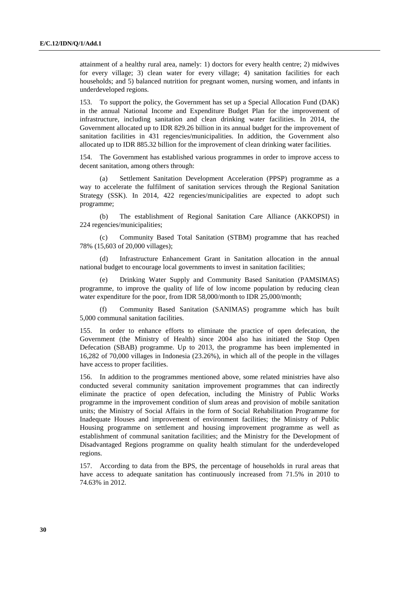attainment of a healthy rural area, namely: 1) doctors for every health centre; 2) midwives for every village; 3) clean water for every village; 4) sanitation facilities for each households; and 5) balanced nutrition for pregnant women, nursing women, and infants in underdeveloped regions.

153. To support the policy, the Government has set up a Special Allocation Fund (DAK) in the annual National Income and Expenditure Budget Plan for the improvement of infrastructure, including sanitation and clean drinking water facilities. In 2014, the Government allocated up to IDR 829.26 billion in its annual budget for the improvement of sanitation facilities in 431 regencies/municipalities. In addition, the Government also allocated up to IDR 885.32 billion for the improvement of clean drinking water facilities.

154. The Government has established various programmes in order to improve access to decent sanitation, among others through:

(a) Settlement Sanitation Development Acceleration (PPSP) programme as a way to accelerate the fulfilment of sanitation services through the Regional Sanitation Strategy (SSK). In 2014, 422 regencies/municipalities are expected to adopt such programme;

(b) The establishment of Regional Sanitation Care Alliance (AKKOPSI) in 224 regencies/municipalities;

(c) Community Based Total Sanitation (STBM) programme that has reached 78% (15,603 of 20,000 villages);

(d) Infrastructure Enhancement Grant in Sanitation allocation in the annual national budget to encourage local governments to invest in sanitation facilities;

Drinking Water Supply and Community Based Sanitation (PAMSIMAS) programme, to improve the quality of life of low income population by reducing clean water expenditure for the poor, from IDR 58,000/month to IDR 25,000/month;

(f) Community Based Sanitation (SANIMAS) programme which has built 5,000 communal sanitation facilities.

155. In order to enhance efforts to eliminate the practice of open defecation, the Government (the Ministry of Health) since 2004 also has initiated the Stop Open Defecation (SBAB) programme. Up to 2013, the programme has been implemented in 16,282 of 70,000 villages in Indonesia (23.26%), in which all of the people in the villages have access to proper facilities.

156. In addition to the programmes mentioned above, some related ministries have also conducted several community sanitation improvement programmes that can indirectly eliminate the practice of open defecation, including the Ministry of Public Works programme in the improvement condition of slum areas and provision of mobile sanitation units; the Ministry of Social Affairs in the form of Social Rehabilitation Programme for Inadequate Houses and improvement of environment facilities; the Ministry of Public Housing programme on settlement and housing improvement programme as well as establishment of communal sanitation facilities; and the Ministry for the Development of Disadvantaged Regions programme on quality health stimulant for the underdeveloped regions.

157. According to data from the BPS, the percentage of households in rural areas that have access to adequate sanitation has continuously increased from 71.5% in 2010 to 74.63% in 2012.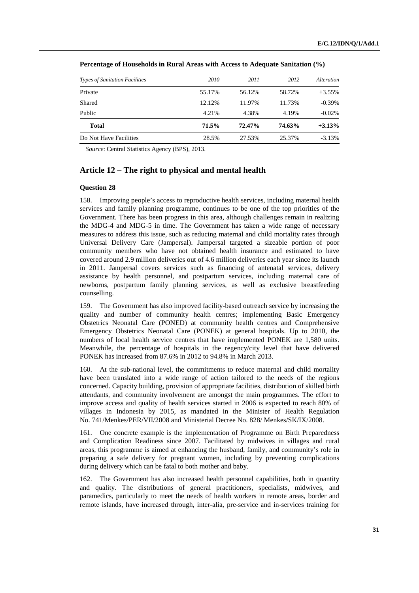| <b>Types of Sanitation Facilities</b> | 2010   | 2011   | 2012   | <i>Alteration</i> |
|---------------------------------------|--------|--------|--------|-------------------|
| Private                               | 55.17% | 56.12% | 58.72% | $+3.55%$          |
| Shared                                | 12.12% | 11.97% | 11.73% | $-0.39\%$         |
| Public                                | 4.21%  | 4.38%  | 4.19%  | $-0.02%$          |
| <b>Total</b>                          | 71.5%  | 72.47% | 74.63% | $+3.13%$          |
| Do Not Have Facilities                | 28.5%  | 27.53% | 25.37% | $-3.13%$          |

 **Percentage of Households in Rural Areas with Access to Adequate Sanitation (%)** 

*Source*: Central Statistics Agency (BPS), 2013.

## **Article 12 – The right to physical and mental health**

### **Question 28**

158. Improving people's access to reproductive health services, including maternal health services and family planning programme, continues to be one of the top priorities of the Government. There has been progress in this area, although challenges remain in realizing the MDG-4 and MDG-5 in time. The Government has taken a wide range of necessary measures to address this issue, such as reducing maternal and child mortality rates through Universal Delivery Care (Jampersal). Jampersal targeted a sizeable portion of poor community members who have not obtained health insurance and estimated to have covered around 2.9 million deliveries out of 4.6 million deliveries each year since its launch in 2011. Jampersal covers services such as financing of antenatal services, delivery assistance by health personnel, and postpartum services, including maternal care of newborns, postpartum family planning services, as well as exclusive breastfeeding counselling.

159. The Government has also improved facility-based outreach service by increasing the quality and number of community health centres; implementing Basic Emergency Obstetrics Neonatal Care (PONED) at community health centres and Comprehensive Emergency Obstetrics Neonatal Care (PONEK) at general hospitals. Up to 2010, the numbers of local health service centres that have implemented PONEK are 1,580 units. Meanwhile, the percentage of hospitals in the regency/city level that have delivered PONEK has increased from 87.6% in 2012 to 94.8% in March 2013.

160. At the sub-national level, the commitments to reduce maternal and child mortality have been translated into a wide range of action tailored to the needs of the regions concerned. Capacity building, provision of appropriate facilities, distribution of skilled birth attendants, and community involvement are amongst the main programmes. The effort to improve access and quality of health services started in 2006 is expected to reach 80% of villages in Indonesia by 2015, as mandated in the Minister of Health Regulation No. 741/Menkes/PER/VII/2008 and Ministerial Decree No. 828/ Menkes/SK/IX/2008.

161. One concrete example is the implementation of Programme on Birth Preparedness and Complication Readiness since 2007. Facilitated by midwives in villages and rural areas, this programme is aimed at enhancing the husband, family, and community's role in preparing a safe delivery for pregnant women, including by preventing complications during delivery which can be fatal to both mother and baby.

162. The Government has also increased health personnel capabilities, both in quantity and quality. The distributions of general practitioners, specialists, midwives, and paramedics, particularly to meet the needs of health workers in remote areas, border and remote islands, have increased through, inter-alia, pre-service and in-services training for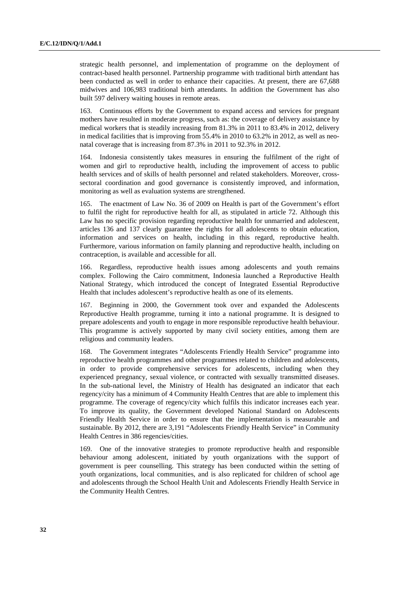strategic health personnel, and implementation of programme on the deployment of contract-based health personnel. Partnership programme with traditional birth attendant has been conducted as well in order to enhance their capacities. At present, there are 67,688 midwives and 106,983 traditional birth attendants. In addition the Government has also built 597 delivery waiting houses in remote areas.

163. Continuous efforts by the Government to expand access and services for pregnant mothers have resulted in moderate progress, such as: the coverage of delivery assistance by medical workers that is steadily increasing from 81.3% in 2011 to 83.4% in 2012, delivery in medical facilities that is improving from 55.4% in 2010 to 63.2% in 2012, as well as neonatal coverage that is increasing from 87.3% in 2011 to 92.3% in 2012.

164. Indonesia consistently takes measures in ensuring the fulfilment of the right of women and girl to reproductive health, including the improvement of access to public health services and of skills of health personnel and related stakeholders. Moreover, crosssectoral coordination and good governance is consistently improved, and information, monitoring as well as evaluation systems are strengthened.

165. The enactment of Law No. 36 of 2009 on Health is part of the Government's effort to fulfil the right for reproductive health for all, as stipulated in article 72. Although this Law has no specific provision regarding reproductive health for unmarried and adolescent, articles 136 and 137 clearly guarantee the rights for all adolescents to obtain education, information and services on health, including in this regard, reproductive health. Furthermore, various information on family planning and reproductive health, including on contraception, is available and accessible for all.

166. Regardless, reproductive health issues among adolescents and youth remains complex. Following the Cairo commitment, Indonesia launched a Reproductive Health National Strategy, which introduced the concept of Integrated Essential Reproductive Health that includes adolescent's reproductive health as one of its elements.

167. Beginning in 2000, the Government took over and expanded the Adolescents Reproductive Health programme, turning it into a national programme. It is designed to prepare adolescents and youth to engage in more responsible reproductive health behaviour. This programme is actively supported by many civil society entities, among them are religious and community leaders.

168. The Government integrates "Adolescents Friendly Health Service" programme into reproductive health programmes and other programmes related to children and adolescents, in order to provide comprehensive services for adolescents, including when they experienced pregnancy, sexual violence, or contracted with sexually transmitted diseases. In the sub-national level, the Ministry of Health has designated an indicator that each regency/city has a minimum of 4 Community Health Centres that are able to implement this programme. The coverage of regency/city which fulfils this indicator increases each year. To improve its quality, the Government developed National Standard on Adolescents Friendly Health Service in order to ensure that the implementation is measurable and sustainable. By 2012, there are 3,191 "Adolescents Friendly Health Service" in Community Health Centres in 386 regencies/cities.

169. One of the innovative strategies to promote reproductive health and responsible behaviour among adolescent, initiated by youth organizations with the support of government is peer counselling. This strategy has been conducted within the setting of youth organizations, local communities, and is also replicated for children of school age and adolescents through the School Health Unit and Adolescents Friendly Health Service in the Community Health Centres.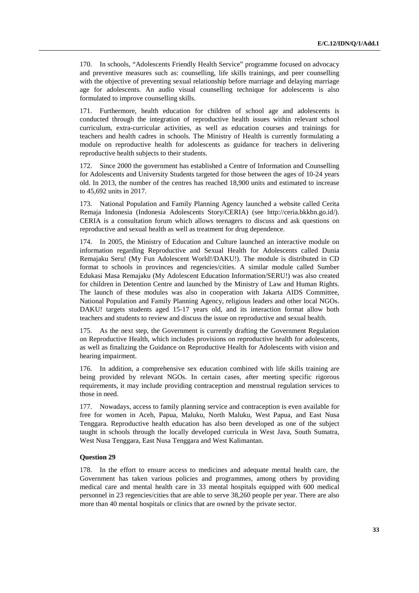170. In schools, "Adolescents Friendly Health Service" programme focused on advocacy and preventive measures such as: counselling, life skills trainings, and peer counselling with the objective of preventing sexual relationship before marriage and delaying marriage age for adolescents. An audio visual counselling technique for adolescents is also formulated to improve counselling skills.

171. Furthermore, health education for children of school age and adolescents is conducted through the integration of reproductive health issues within relevant school curriculum, extra-curricular activities, as well as education courses and trainings for teachers and health cadres in schools. The Ministry of Health is currently formulating a module on reproductive health for adolescents as guidance for teachers in delivering reproductive health subjects to their students.

172. Since 2000 the government has established a Centre of Information and Counselling for Adolescents and University Students targeted for those between the ages of 10-24 years old. In 2013, the number of the centres has reached 18,900 units and estimated to increase to 45,692 units in 2017.

173. National Population and Family Planning Agency launched a website called Cerita Remaja Indonesia (Indonesia Adolescents Story/CERIA) (see http://ceria.bkkbn.go.id/). CERIA is a consultation forum which allows teenagers to discuss and ask questions on reproductive and sexual health as well as treatment for drug dependence.

174. In 2005, the Ministry of Education and Culture launched an interactive module on information regarding Reproductive and Sexual Health for Adolescents called Dunia Remajaku Seru! (My Fun Adolescent World!/DAKU!). The module is distributed in CD format to schools in provinces and regencies/cities. A similar module called Sumber Edukasi Masa Remajaku (My Adolescent Education Information/SERU!) was also created for children in Detention Centre and launched by the Ministry of Law and Human Rights. The launch of these modules was also in cooperation with Jakarta AIDS Committee, National Population and Family Planning Agency, religious leaders and other local NGOs. DAKU! targets students aged 15-17 years old, and its interaction format allow both teachers and students to review and discuss the issue on reproductive and sexual health.

175. As the next step, the Government is currently drafting the Government Regulation on Reproductive Health, which includes provisions on reproductive health for adolescents, as well as finalizing the Guidance on Reproductive Health for Adolescents with vision and hearing impairment.

176. In addition, a comprehensive sex education combined with life skills training are being provided by relevant NGOs. In certain cases, after meeting specific rigorous requirements, it may include providing contraception and menstrual regulation services to those in need.

177. Nowadays, access to family planning service and contraception is even available for free for women in Aceh, Papua, Maluku, North Maluku, West Papua, and East Nusa Tenggara. Reproductive health education has also been developed as one of the subject taught in schools through the locally developed curricula in West Java, South Sumatra, West Nusa Tenggara, East Nusa Tenggara and West Kalimantan.

#### **Question 29**

178. In the effort to ensure access to medicines and adequate mental health care, the Government has taken various policies and programmes, among others by providing medical care and mental health care in 33 mental hospitals equipped with 600 medical personnel in 23 regencies/cities that are able to serve 38,260 people per year. There are also more than 40 mental hospitals or clinics that are owned by the private sector.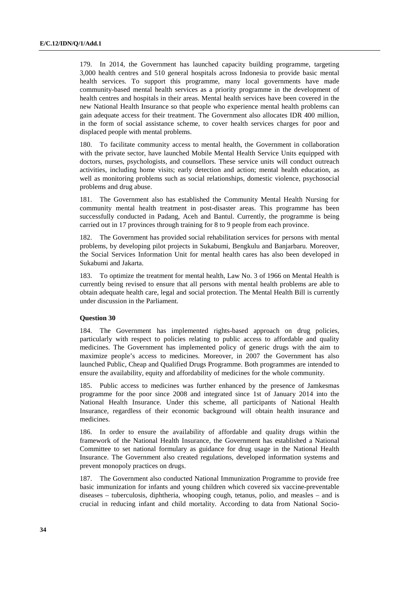179. In 2014, the Government has launched capacity building programme, targeting 3,000 health centres and 510 general hospitals across Indonesia to provide basic mental health services. To support this programme, many local governments have made community-based mental health services as a priority programme in the development of health centres and hospitals in their areas. Mental health services have been covered in the new National Health Insurance so that people who experience mental health problems can gain adequate access for their treatment. The Government also allocates IDR 400 million, in the form of social assistance scheme, to cover health services charges for poor and displaced people with mental problems.

180. To facilitate community access to mental health, the Government in collaboration with the private sector, have launched Mobile Mental Health Service Units equipped with doctors, nurses, psychologists, and counsellors. These service units will conduct outreach activities, including home visits; early detection and action; mental health education, as well as monitoring problems such as social relationships, domestic violence, psychosocial problems and drug abuse.

181. The Government also has established the Community Mental Health Nursing for community mental health treatment in post-disaster areas. This programme has been successfully conducted in Padang, Aceh and Bantul. Currently, the programme is being carried out in 17 provinces through training for 8 to 9 people from each province.

182. The Government has provided social rehabilitation services for persons with mental problems, by developing pilot projects in Sukabumi, Bengkulu and Banjarbaru. Moreover, the Social Services Information Unit for mental health cares has also been developed in Sukabumi and Jakarta.

183. To optimize the treatment for mental health, Law No. 3 of 1966 on Mental Health is currently being revised to ensure that all persons with mental health problems are able to obtain adequate health care, legal and social protection. The Mental Health Bill is currently under discussion in the Parliament.

#### **Question 30**

184. The Government has implemented rights-based approach on drug policies, particularly with respect to policies relating to public access to affordable and quality medicines. The Government has implemented policy of generic drugs with the aim to maximize people's access to medicines. Moreover, in 2007 the Government has also launched Public, Cheap and Qualified Drugs Programme. Both programmes are intended to ensure the availability, equity and affordability of medicines for the whole community.

185. Public access to medicines was further enhanced by the presence of Jamkesmas programme for the poor since 2008 and integrated since 1st of January 2014 into the National Health Insurance. Under this scheme, all participants of National Health Insurance, regardless of their economic background will obtain health insurance and medicines.

186. In order to ensure the availability of affordable and quality drugs within the framework of the National Health Insurance, the Government has established a National Committee to set national formulary as guidance for drug usage in the National Health Insurance. The Government also created regulations, developed information systems and prevent monopoly practices on drugs.

187. The Government also conducted National Immunization Programme to provide free basic immunization for infants and young children which covered six vaccine-preventable diseases – tuberculosis, diphtheria, whooping cough, tetanus, polio, and measles – and is crucial in reducing infant and child mortality. According to data from National Socio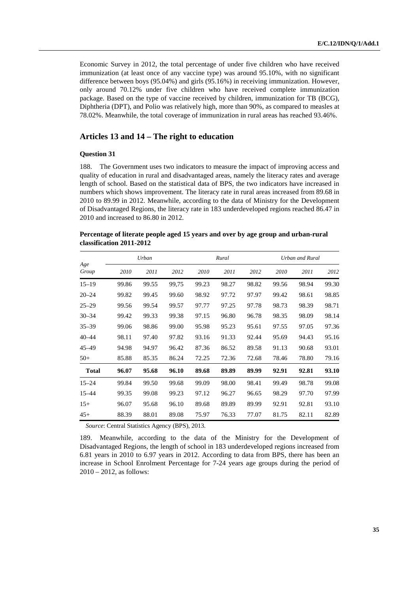Economic Survey in 2012, the total percentage of under five children who have received immunization (at least once of any vaccine type) was around 95.10%, with no significant difference between boys (95.04%) and girls (95.16%) in receiving immunization. However, only around 70.12% under five children who have received complete immunization package. Based on the type of vaccine received by children, immunization for TB (BCG), Diphtheria (DPT), and Polio was relatively high, more than 90%, as compared to measles at 78.02%. Meanwhile, the total coverage of immunization in rural areas has reached 93.46%.

# **Articles 13 and 14 – The right to education**

### **Question 31**

188. The Government uses two indicators to measure the impact of improving access and quality of education in rural and disadvantaged areas, namely the literacy rates and average length of school. Based on the statistical data of BPS, the two indicators have increased in numbers which shows improvement. The literacy rate in rural areas increased from 89.68 in 2010 to 89.99 in 2012. Meanwhile, according to the data of Ministry for the Development of Disadvantaged Regions, the literacy rate in 183 underdeveloped regions reached 86.47 in 2010 and increased to 86.80 in 2012.

### **Percentage of literate people aged 15 years and over by age group and urban-rural classification 2011-2012**

|              |       | Urban |       | Rural |       |       |       | Urban and Rural |       |
|--------------|-------|-------|-------|-------|-------|-------|-------|-----------------|-------|
| Age<br>Group | 2010  | 2011  | 2012  | 2010  | 2011  | 2012  | 2010  | 2011            | 2012  |
| $15 - 19$    | 99.86 | 99.55 | 99,75 | 99.23 | 98.27 | 98.82 | 99.56 | 98.94           | 99.30 |
| $20 - 24$    | 99.82 | 99.45 | 99.60 | 98.92 | 97.72 | 97.97 | 99.42 | 98.61           | 98.85 |
| $25 - 29$    | 99.56 | 99.54 | 99.57 | 97.77 | 97.25 | 97.78 | 98.73 | 98.39           | 98.71 |
| $30 - 34$    | 99.42 | 99.33 | 99.38 | 97.15 | 96.80 | 96.78 | 98.35 | 98.09           | 98.14 |
| $35 - 39$    | 99.06 | 98.86 | 99.00 | 95.98 | 95.23 | 95.61 | 97.55 | 97.05           | 97.36 |
| $40 - 44$    | 98.11 | 97.40 | 97.82 | 93.16 | 91.33 | 92.44 | 95.69 | 94.43           | 95.16 |
| 45–49        | 94.98 | 94.97 | 96.42 | 87.36 | 86.52 | 89.58 | 91.13 | 90.68           | 93.01 |
| $50+$        | 85.88 | 85.35 | 86.24 | 72.25 | 72.36 | 72.68 | 78.46 | 78.80           | 79.16 |
| <b>Total</b> | 96.07 | 95.68 | 96.10 | 89.68 | 89.89 | 89.99 | 92.91 | 92.81           | 93.10 |
| $15 - 24$    | 99.84 | 99.50 | 99.68 | 99.09 | 98.00 | 98.41 | 99.49 | 98.78           | 99.08 |
| $15 - 44$    | 99.35 | 99.08 | 99.23 | 97.12 | 96.27 | 96.65 | 98.29 | 97.70           | 97.99 |
| $15+$        | 96.07 | 95.68 | 96.10 | 89.68 | 89.89 | 89.99 | 92.91 | 92.81           | 93.10 |
| $45+$        | 88.39 | 88.01 | 89.08 | 75.97 | 76.33 | 77.07 | 81.75 | 82.11           | 82.89 |

*Source*: Central Statistics Agency (BPS), 2013.

189. Meanwhile, according to the data of the Ministry for the Development of Disadvantaged Regions, the length of school in 183 underdeveloped regions increased from 6.81 years in 2010 to 6.97 years in 2012. According to data from BPS, there has been an increase in School Enrolment Percentage for 7-24 years age groups during the period of 2010 – 2012, as follows: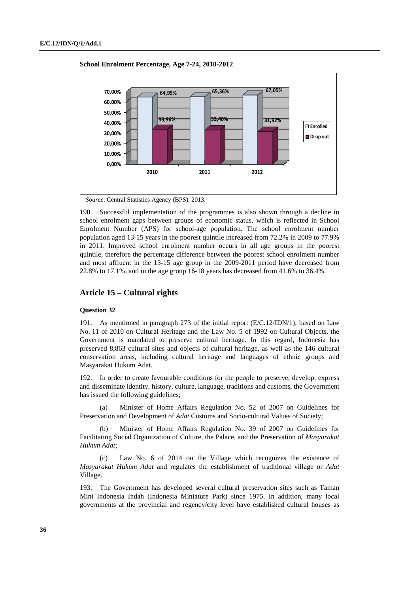

 **School Enrolment Percentage, Age 7-24, 2010-2012** 

*Source*: Central Statistics Agency (BPS), 2013.

190. Successful implementation of the programmes is also shown through a decline in school enrolment gaps between groups of economic status, which is reflected in School Enrolment Number (APS) for school-age population. The school enrolment number population aged 13-15 years in the poorest quintile increased from 72.2% in 2009 to 77.9% in 2011. Improved school enrolment number occurs in all age groups in the poorest quintile, therefore the percentage difference between the poorest school enrolment number and most affluent in the 13-15 age group in the 2009-2011 period have decreased from 22.8% to 17.1%, and in the age group 16-18 years has decreased from 41.6% to 36.4%.

## **Article 15 – Cultural rights**

#### **Question 32**

191. As mentioned in paragraph 273 of the initial report (E/C.12/IDN/1), based on Law No. 11 of 2010 on Cultural Heritage and the Law No. 5 of 1992 on Cultural Objects, the Government is mandated to preserve cultural heritage. In this regard, Indonesia has preserved 8,863 cultural sites and objects of cultural heritage, as well as the 146 cultural conservation areas, including cultural heritage and languages of ethnic groups and Masyarakat Hukum Adat.

192. In order to create favourable conditions for the people to preserve, develop, express and disseminate identity, history, culture, language, traditions and customs, the Government has issued the following guidelines;

(a) Minister of Home Affairs Regulation No. 52 of 2007 on Guidelines for Preservation and Development of *Adat* Customs and Socio-cultural Values of Society;

(b) Minister of Home Affairs Regulation No. 39 of 2007 on Guidelines for Facilitating Social Organization of Culture, the Palace, and the Preservation of *Masyarakat Hukum Adat*;

Law No. 6 of 2014 on the Village which recognizes the existence of *Masyarakat Hukum Adat* and regulates the establishment of traditional village or *Adat* Village.

193. The Government has developed several cultural preservation sites such as Taman Mini Indonesia Indah (Indonesia Miniature Park) since 1975. In addition, many local governments at the provincial and regency/city level have established cultural houses as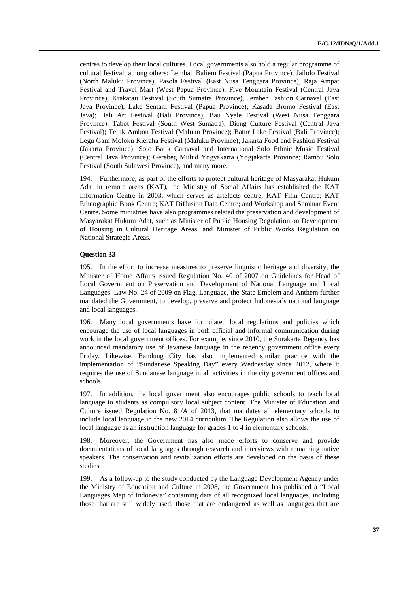centres to develop their local cultures. Local governments also hold a regular programme of cultural festival, among others: Lembah Baliem Festival (Papua Province), Jailolo Festival (North Maluku Province), Pasola Festival (East Nusa Tenggara Province), Raja Ampat Festival and Travel Mart (West Papua Province); Five Mountain Festival (Central Java Province); Krakatau Festival (South Sumatra Province), Jember Fashion Carnaval (East Java Province), Lake Sentani Festival (Papua Province), Kasada Bromo Festival (East Java); Bali Art Festival (Bali Province); Bau Nyale Festival (West Nusa Tenggara Province); Tabot Festival (South West Sumatra); Dieng Culture Festival (Central Java Festival); Teluk Ambon Festival (Maluku Province); Batur Lake Festival (Bali Province); Legu Gam Moloku Kieraha Festival (Maluku Province); Jakarta Food and Fashion Festival (Jakarta Province); Solo Batik Carnaval and International Solo Ethnic Music Festival (Central Java Province); Gerebeg Mulud Yogyakarta (Yogjakarta Province; Rambu Solo Festival (South Sulawesi Province), and many more.

194. Furthermore, as part of the efforts to protect cultural heritage of Masyarakat Hukum Adat in remote areas (KAT), the Ministry of Social Affairs has established the KAT Information Centre in 2003, which serves as artefacts centre; KAT Film Centre; KAT Ethnographic Book Centre; KAT Diffusion Data Centre; and Workshop and Seminar Event Centre. Some ministries have also programmes related the preservation and development of Masyarakat Hukum Adat, such as Minister of Public Housing Regulation on Development of Housing in Cultural Heritage Areas; and Minister of Public Works Regulation on National Strategic Areas.

### **Question 33**

195. In the effort to increase measures to preserve linguistic heritage and diversity, the Minister of Home Affairs issued Regulation No. 40 of 2007 on Guidelines for Head of Local Government on Preservation and Development of National Language and Local Languages. Law No. 24 of 2009 on Flag, Language, the State Emblem and Anthem further mandated the Government, to develop, preserve and protect Indonesia's national language and local languages.

196. Many local governments have formulated local regulations and policies which encourage the use of local languages in both official and informal communication during work in the local government offices. For example, since 2010, the Surakarta Regency has announced mandatory use of Javanese language in the regency government office every Friday. Likewise, Bandung City has also implemented similar practice with the implementation of "Sundanese Speaking Day" every Wednesday since 2012, where it requires the use of Sundanese language in all activities in the city government offices and schools.

197. In addition, the local government also encourages public schools to teach local language to students as compulsory local subject content. The Minister of Education and Culture issued Regulation No. 81/A of 2013, that mandates all elementary schools to include local language in the new 2014 curriculum. The Regulation also allows the use of local language as an instruction language for grades 1 to 4 in elementary schools.

198. Moreover, the Government has also made efforts to conserve and provide documentations of local languages through research and interviews with remaining native speakers. The conservation and revitalization efforts are developed on the basis of these studies.

199. As a follow-up to the study conducted by the Language Development Agency under the Ministry of Education and Culture in 2008, the Government has published a "Local Languages Map of Indonesia" containing data of all recognized local languages, including those that are still widely used, those that are endangered as well as languages that are